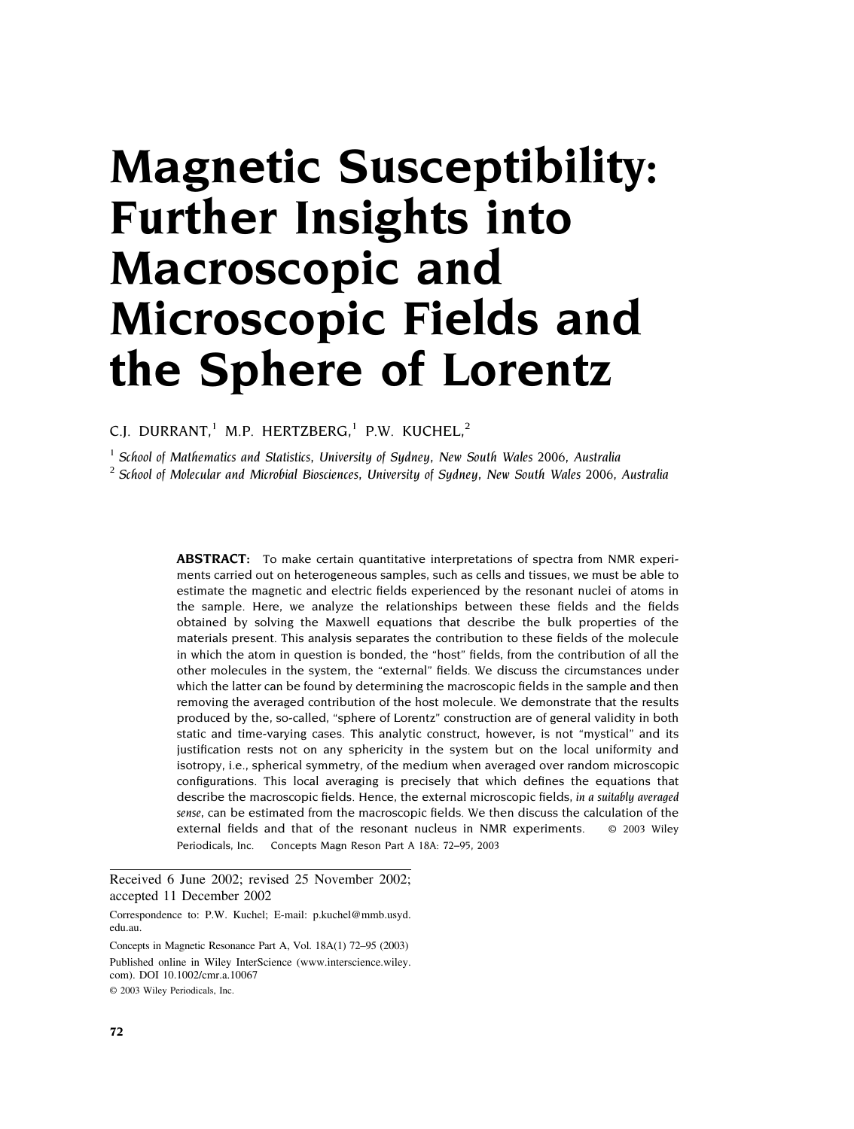# **Magnetic Susceptibility: Further Insights into Macroscopic and Microscopic Fields and the Sphere of Lorentz**

C.J. DURRANT,<sup>1</sup> M.P. HERTZBERG,<sup>1</sup> P.W. KUCHEL.<sup>2</sup>

<sup>1</sup> *<sup>S</sup>chool of <sup>M</sup>athematics and <sup>S</sup>tatistics, <sup>U</sup>niversity of <sup>S</sup>ydney, <sup>N</sup>ew <sup>S</sup>outh <sup>W</sup>ales 2006, <sup>A</sup>ustralia*

 $2$  School of Molecular and Microbial Biosciences, University of Sydney, New South Wales 2006, Australia

**ABSTRACT:** To make certain quantitative interpretations of spectra from NMR experiments carried out on heterogeneous samples, such as cells and tissues, we must be able to estimate the magnetic and electric fields experienced by the resonant nuclei of atoms in the sample. Here, we analyze the relationships between these fields and the fields obtained by solving the Maxwell equations that describe the bulk properties of the materials present. This analysis separates the contribution to these fields of the molecule in which the atom in question is bonded, the "host" fields, from the contribution of all the other molecules in the system, the "external" fields. We discuss the circumstances under which the latter can be found by determining the macroscopic fields in the sample and then removing the averaged contribution of the host molecule. We demonstrate that the results produced by the, so-called, "sphere of Lorentz" construction are of general validity in both static and time-varying cases. This analytic construct, however, is not "mystical" and its justification rests not on any sphericity in the system but on the local uniformity and isotropy, i.e., spherical symmetry, of the medium when averaged over random microscopic configurations. This local averaging is precisely that which defines the equations that describe the macroscopic fields. Hence, the external microscopic fields, *in a suitably averaged sense,* can be estimated from the macroscopic fields. We then discuss the calculation of the external fields and that of the resonant nucleus in NMR experiments. © 2003 Wiley Periodicals, Inc. Concepts Magn Reson Part A 18A: 72–95, 2003

Received 6 June 2002; revised 25 November 2002; accepted 11 December 2002

Correspondence to: P.W. Kuchel; E-mail: p.kuchel@mmb.usyd. edu.au.

Concepts in Magnetic Resonance Part A, Vol. 18A(1) 72–95 (2003) Published online in Wiley InterScience (www.interscience.wiley. com). DOI 10.1002/cmr.a.10067 © 2003 Wiley Periodicals, Inc.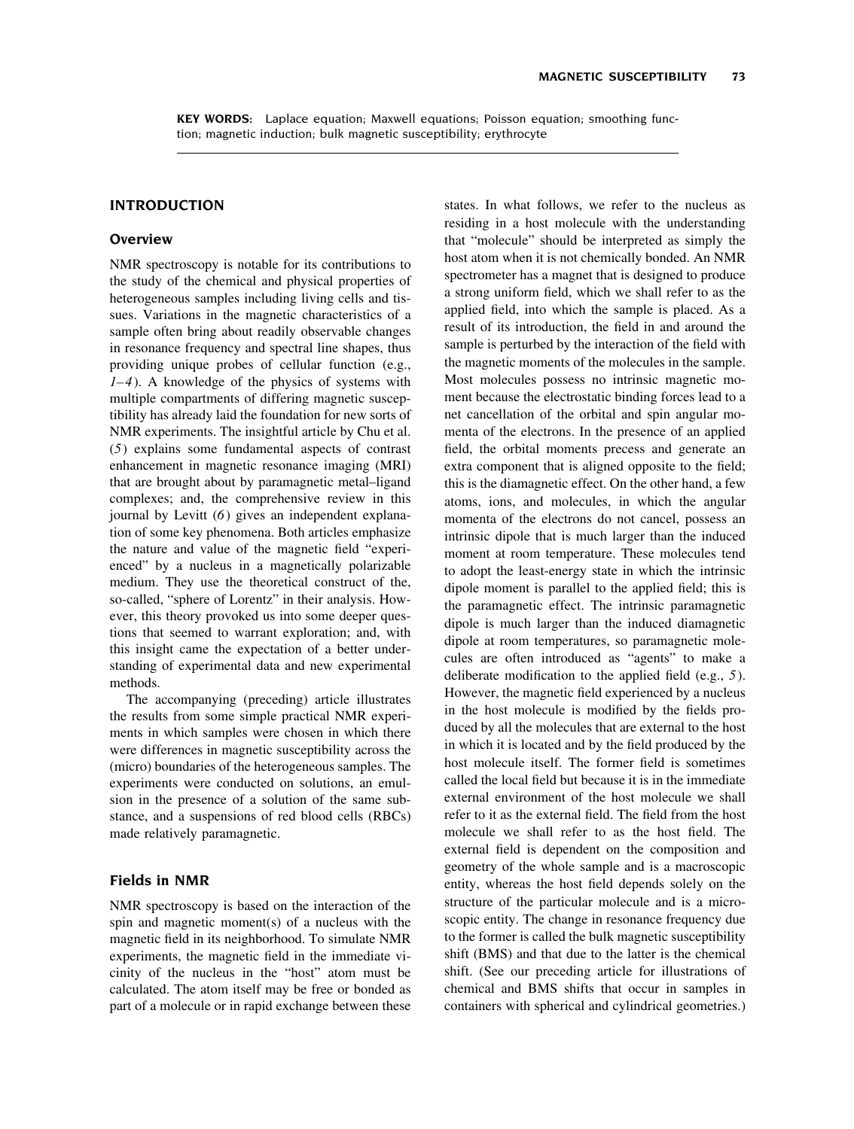**KEY WORDS:** Laplace equation; Maxwell equations; Poisson equation; smoothing function; magnetic induction; bulk magnetic susceptibility; erythrocyte

# **INTRODUCTION**

#### **Overview**

NMR spectroscopy is notable for its contributions to the study of the chemical and physical properties of heterogeneous samples including living cells and tissues. Variations in the magnetic characteristics of a sample often bring about readily observable changes in resonance frequency and spectral line shapes, thus providing unique probes of cellular function (e.g., *1–4*). A knowledge of the physics of systems with multiple compartments of differing magnetic susceptibility has already laid the foundation for new sorts of NMR experiments. The insightful article by Chu et al. (*5*) explains some fundamental aspects of contrast enhancement in magnetic resonance imaging (MRI) that are brought about by paramagnetic metal–ligand complexes; and, the comprehensive review in this journal by Levitt (*6*) gives an independent explanation of some key phenomena. Both articles emphasize the nature and value of the magnetic field "experienced" by a nucleus in a magnetically polarizable medium. They use the theoretical construct of the, so-called, "sphere of Lorentz" in their analysis. However, this theory provoked us into some deeper questions that seemed to warrant exploration; and, with this insight came the expectation of a better understanding of experimental data and new experimental methods.

The accompanying (preceding) article illustrates the results from some simple practical NMR experiments in which samples were chosen in which there were differences in magnetic susceptibility across the (micro) boundaries of the heterogeneous samples. The experiments were conducted on solutions, an emulsion in the presence of a solution of the same substance, and a suspensions of red blood cells (RBCs) made relatively paramagnetic.

## **Fields in NMR**

NMR spectroscopy is based on the interaction of the spin and magnetic moment(s) of a nucleus with the magnetic field in its neighborhood. To simulate NMR experiments, the magnetic field in the immediate vicinity of the nucleus in the "host" atom must be calculated. The atom itself may be free or bonded as part of a molecule or in rapid exchange between these

states. In what follows, we refer to the nucleus as residing in a host molecule with the understanding that "molecule" should be interpreted as simply the host atom when it is not chemically bonded. An NMR spectrometer has a magnet that is designed to produce a strong uniform field, which we shall refer to as the applied field, into which the sample is placed. As a result of its introduction, the field in and around the sample is perturbed by the interaction of the field with the magnetic moments of the molecules in the sample. Most molecules possess no intrinsic magnetic moment because the electrostatic binding forces lead to a net cancellation of the orbital and spin angular momenta of the electrons. In the presence of an applied field, the orbital moments precess and generate an extra component that is aligned opposite to the field; this is the diamagnetic effect. On the other hand, a few atoms, ions, and molecules, in which the angular momenta of the electrons do not cancel, possess an intrinsic dipole that is much larger than the induced moment at room temperature. These molecules tend to adopt the least-energy state in which the intrinsic dipole moment is parallel to the applied field; this is the paramagnetic effect. The intrinsic paramagnetic dipole is much larger than the induced diamagnetic dipole at room temperatures, so paramagnetic molecules are often introduced as "agents" to make a deliberate modification to the applied field (e.g., *5*). However, the magnetic field experienced by a nucleus in the host molecule is modified by the fields produced by all the molecules that are external to the host in which it is located and by the field produced by the host molecule itself. The former field is sometimes called the local field but because it is in the immediate external environment of the host molecule we shall refer to it as the external field. The field from the host molecule we shall refer to as the host field. The external field is dependent on the composition and geometry of the whole sample and is a macroscopic entity, whereas the host field depends solely on the structure of the particular molecule and is a microscopic entity. The change in resonance frequency due to the former is called the bulk magnetic susceptibility shift (BMS) and that due to the latter is the chemical shift. (See our preceding article for illustrations of chemical and BMS shifts that occur in samples in containers with spherical and cylindrical geometries.)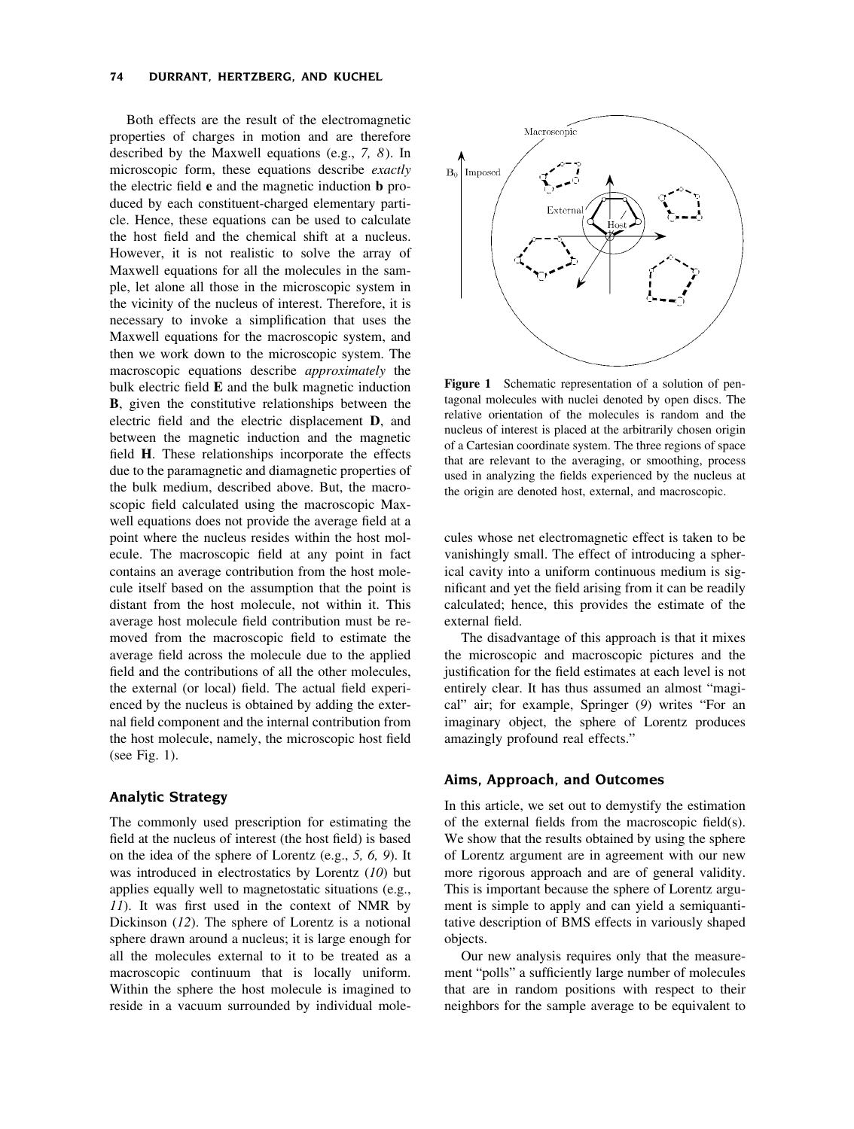#### **74 DURRANT, HERTZBERG, AND KUCHEL**

Both effects are the result of the electromagnetic properties of charges in motion and are therefore described by the Maxwell equations (e.g., *7, 8*). In microscopic form, these equations describe *exactly* the electric field **e** and the magnetic induction **b** produced by each constituent-charged elementary particle. Hence, these equations can be used to calculate the host field and the chemical shift at a nucleus. However, it is not realistic to solve the array of Maxwell equations for all the molecules in the sample, let alone all those in the microscopic system in the vicinity of the nucleus of interest. Therefore, it is necessary to invoke a simplification that uses the Maxwell equations for the macroscopic system, and then we work down to the microscopic system. The macroscopic equations describe *approximately* the bulk electric field **E** and the bulk magnetic induction **B**, given the constitutive relationships between the electric field and the electric displacement **D**, and between the magnetic induction and the magnetic field **H**. These relationships incorporate the effects due to the paramagnetic and diamagnetic properties of the bulk medium, described above. But, the macroscopic field calculated using the macroscopic Maxwell equations does not provide the average field at a point where the nucleus resides within the host molecule. The macroscopic field at any point in fact contains an average contribution from the host molecule itself based on the assumption that the point is distant from the host molecule, not within it. This average host molecule field contribution must be removed from the macroscopic field to estimate the average field across the molecule due to the applied field and the contributions of all the other molecules, the external (or local) field. The actual field experienced by the nucleus is obtained by adding the external field component and the internal contribution from the host molecule, namely, the microscopic host field (see Fig. 1).

## **Analytic Strategy**

The commonly used prescription for estimating the field at the nucleus of interest (the host field) is based on the idea of the sphere of Lorentz (e.g., *5, 6, 9*). It was introduced in electrostatics by Lorentz (*10*) but applies equally well to magnetostatic situations (e.g., *11*). It was first used in the context of NMR by Dickinson (*12*). The sphere of Lorentz is a notional sphere drawn around a nucleus; it is large enough for all the molecules external to it to be treated as a macroscopic continuum that is locally uniform. Within the sphere the host molecule is imagined to reside in a vacuum surrounded by individual mole-



Figure 1 Schematic representation of a solution of pentagonal molecules with nuclei denoted by open discs. The relative orientation of the molecules is random and the nucleus of interest is placed at the arbitrarily chosen origin of a Cartesian coordinate system. The three regions of space that are relevant to the averaging, or smoothing, process used in analyzing the fields experienced by the nucleus at the origin are denoted host, external, and macroscopic.

cules whose net electromagnetic effect is taken to be vanishingly small. The effect of introducing a spherical cavity into a uniform continuous medium is significant and yet the field arising from it can be readily calculated; hence, this provides the estimate of the external field.

The disadvantage of this approach is that it mixes the microscopic and macroscopic pictures and the justification for the field estimates at each level is not entirely clear. It has thus assumed an almost "magical" air; for example, Springer (*9*) writes "For an imaginary object, the sphere of Lorentz produces amazingly profound real effects."

#### **Aims, Approach, and Outcomes**

In this article, we set out to demystify the estimation of the external fields from the macroscopic field(s). We show that the results obtained by using the sphere of Lorentz argument are in agreement with our new more rigorous approach and are of general validity. This is important because the sphere of Lorentz argument is simple to apply and can yield a semiquantitative description of BMS effects in variously shaped objects.

Our new analysis requires only that the measurement "polls" a sufficiently large number of molecules that are in random positions with respect to their neighbors for the sample average to be equivalent to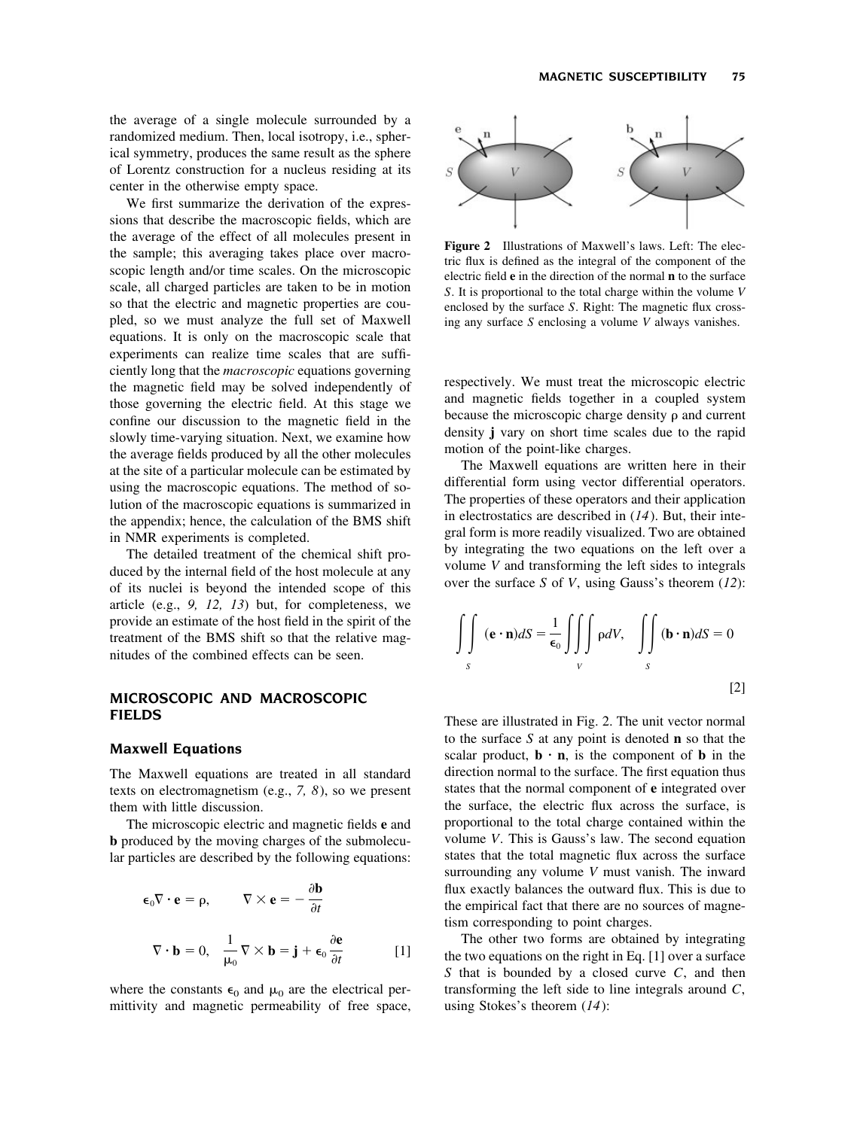the average of a single molecule surrounded by a randomized medium. Then, local isotropy, i.e., spherical symmetry, produces the same result as the sphere of Lorentz construction for a nucleus residing at its center in the otherwise empty space.

We first summarize the derivation of the expressions that describe the macroscopic fields, which are the average of the effect of all molecules present in the sample; this averaging takes place over macroscopic length and/or time scales. On the microscopic scale, all charged particles are taken to be in motion so that the electric and magnetic properties are coupled, so we must analyze the full set of Maxwell equations. It is only on the macroscopic scale that experiments can realize time scales that are sufficiently long that the *macroscopic* equations governing the magnetic field may be solved independently of those governing the electric field. At this stage we confine our discussion to the magnetic field in the slowly time-varying situation. Next, we examine how the average fields produced by all the other molecules at the site of a particular molecule can be estimated by using the macroscopic equations. The method of solution of the macroscopic equations is summarized in the appendix; hence, the calculation of the BMS shift in NMR experiments is completed.

The detailed treatment of the chemical shift produced by the internal field of the host molecule at any of its nuclei is beyond the intended scope of this article (e.g., *9, 12, 13*) but, for completeness, we provide an estimate of the host field in the spirit of the treatment of the BMS shift so that the relative magnitudes of the combined effects can be seen.

# **MICROSCOPIC AND MACROSCOPIC FIELDS**

## **Maxwell Equations**

The Maxwell equations are treated in all standard texts on electromagnetism (e.g., *7, 8*), so we present them with little discussion.

The microscopic electric and magnetic fields **e** and **b** produced by the moving charges of the submolecular particles are described by the following equations:

$$
\epsilon_0 \nabla \cdot \mathbf{e} = \rho, \qquad \nabla \times \mathbf{e} = -\frac{\partial \mathbf{b}}{\partial t}
$$

$$
\nabla \cdot \mathbf{b} = 0, \quad \frac{1}{\mu_0} \nabla \times \mathbf{b} = \mathbf{j} + \epsilon_0 \frac{\partial \mathbf{e}}{\partial t} \tag{1}
$$

where the constants  $\epsilon_0$  and  $\mu_0$  are the electrical permittivity and magnetic permeability of free space,



**Figure 2** Illustrations of Maxwell's laws. Left: The electric flux is defined as the integral of the component of the electric field **e** in the direction of the normal **n** to the surface *S*. It is proportional to the total charge within the volume *V* enclosed by the surface *S*. Right: The magnetic flux crossing any surface *S* enclosing a volume *V* always vanishes.

respectively. We must treat the microscopic electric and magnetic fields together in a coupled system because the microscopic charge density  $\rho$  and current density **j** vary on short time scales due to the rapid motion of the point-like charges.

The Maxwell equations are written here in their differential form using vector differential operators. The properties of these operators and their application in electrostatics are described in (*14*). But, their integral form is more readily visualized. Two are obtained by integrating the two equations on the left over a volume *V* and transforming the left sides to integrals over the surface *S* of *V*, using Gauss's theorem (*12*):

$$
\iint_{S} (\mathbf{e} \cdot \mathbf{n}) dS = \frac{1}{\epsilon_0} \iiint_{V} \rho dV, \quad \iint_{S} (\mathbf{b} \cdot \mathbf{n}) dS = 0
$$

These are illustrated in Fig. 2. The unit vector normal to the surface *S* at any point is denoted **n** so that the scalar product,  $\mathbf{b} \cdot \mathbf{n}$ , is the component of **b** in the direction normal to the surface. The first equation thus states that the normal component of **e** integrated over the surface, the electric flux across the surface, is proportional to the total charge contained within the volume *V*. This is Gauss's law. The second equation states that the total magnetic flux across the surface surrounding any volume *V* must vanish. The inward flux exactly balances the outward flux. This is due to the empirical fact that there are no sources of magnetism corresponding to point charges.

The other two forms are obtained by integrating the two equations on the right in Eq. [1] over a surface *S* that is bounded by a closed curve *C*, and then transforming the left side to line integrals around *C*, using Stokes's theorem (*14*):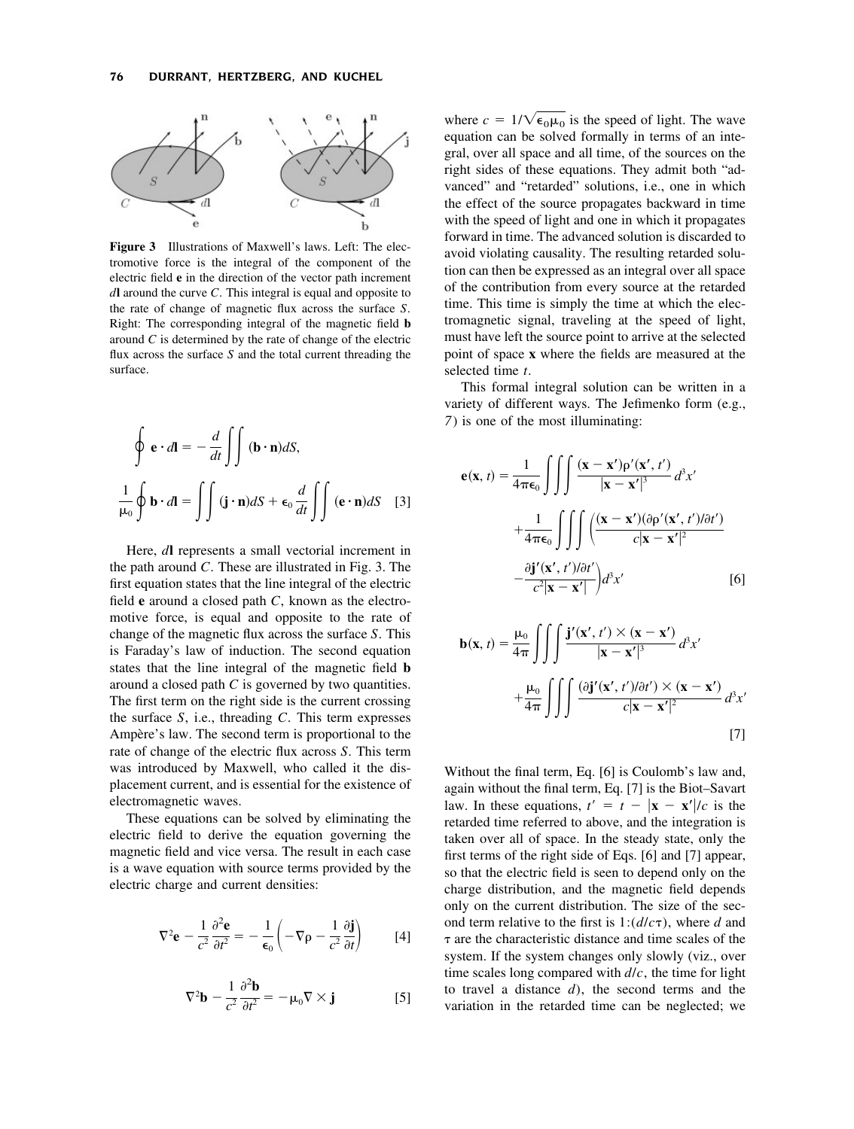

**Figure 3** Illustrations of Maxwell's laws. Left: The electromotive force is the integral of the component of the electric field **e** in the direction of the vector path increment *d***l** around the curve *C*. This integral is equal and opposite to the rate of change of magnetic flux across the surface *S*. Right: The corresponding integral of the magnetic field **b** around *C* is determined by the rate of change of the electric flux across the surface *S* and the total current threading the surface.

$$
\oint \mathbf{e} \cdot d\mathbf{l} = -\frac{d}{dt} \int \int (\mathbf{b} \cdot \mathbf{n}) dS,
$$
\n
$$
\frac{1}{\mu_0} \oint \mathbf{b} \cdot d\mathbf{l} = \int \int (\mathbf{j} \cdot \mathbf{n}) dS + \epsilon_0 \frac{d}{dt} \int \int (\mathbf{e} \cdot \mathbf{n}) dS \quad [3]
$$

Here, *d***l** represents a small vectorial increment in the path around *C*. These are illustrated in Fig. 3. The first equation states that the line integral of the electric field **e** around a closed path *C*, known as the electromotive force, is equal and opposite to the rate of change of the magnetic flux across the surface *S*. This is Faraday's law of induction. The second equation states that the line integral of the magnetic field **b** around a closed path *C* is governed by two quantities. The first term on the right side is the current crossing the surface *S*, i.e., threading *C*. This term expresses Ampère's law. The second term is proportional to the rate of change of the electric flux across *S*. This term was introduced by Maxwell, who called it the displacement current, and is essential for the existence of electromagnetic waves.

These equations can be solved by eliminating the electric field to derive the equation governing the magnetic field and vice versa. The result in each case is a wave equation with source terms provided by the electric charge and current densities:

$$
\nabla^2 \mathbf{e} - \frac{1}{c^2} \frac{\partial^2 \mathbf{e}}{\partial t^2} = -\frac{1}{\epsilon_0} \left( -\nabla \rho - \frac{1}{c^2} \frac{\partial \mathbf{j}}{\partial t} \right) \tag{4}
$$

$$
\nabla^2 \mathbf{b} - \frac{1}{c^2} \frac{\partial^2 \mathbf{b}}{\partial t^2} = -\mu_0 \nabla \times \mathbf{j}
$$
 [5]

where  $c = 1/\sqrt{\epsilon_0 \mu_0}$  is the speed of light. The wave equation can be solved formally in terms of an integral, over all space and all time, of the sources on the right sides of these equations. They admit both "advanced" and "retarded" solutions, i.e., one in which the effect of the source propagates backward in time with the speed of light and one in which it propagates forward in time. The advanced solution is discarded to avoid violating causality. The resulting retarded solution can then be expressed as an integral over all space of the contribution from every source at the retarded time. This time is simply the time at which the electromagnetic signal, traveling at the speed of light, must have left the source point to arrive at the selected point of space **x** where the fields are measured at the selected time *t*.

This formal integral solution can be written in a variety of different ways. The Jefimenko form (e.g., *7*) is one of the most illuminating:

$$
\mathbf{e}(\mathbf{x}, t) = \frac{1}{4\pi\epsilon_0} \int \int \int \frac{(\mathbf{x} - \mathbf{x}')\rho'(\mathbf{x}', t')}{|\mathbf{x} - \mathbf{x}'|^3} d^3x'
$$

$$
+ \frac{1}{4\pi\epsilon_0} \int \int \int \int \frac{(\mathbf{x} - \mathbf{x}')(\partial \rho'(\mathbf{x}', t')/\partial t')}{c|\mathbf{x} - \mathbf{x}'|^2}
$$

$$
- \frac{\partial \mathbf{j}'(\mathbf{x}', t')/\partial t'}{c^2|\mathbf{x} - \mathbf{x}'|} d^3x' \qquad [6]
$$

$$
\mathbf{b}(\mathbf{x}, t) = \frac{\mu_0}{4\pi} \int \int \int \frac{\mathbf{j}'(\mathbf{x}', t') \times (\mathbf{x} - \mathbf{x}')}{|\mathbf{x} - \mathbf{x}'|^3} d^3 x'
$$

$$
+ \frac{\mu_0}{4\pi} \int \int \int \frac{(\partial \mathbf{j}'(\mathbf{x}', t')/\partial t') \times (\mathbf{x} - \mathbf{x}')}{c|\mathbf{x} - \mathbf{x}'|^2} d^3 x'
$$

Without the final term, Eq. [6] is Coulomb's law and, again without the final term, Eq. [7] is the Biot–Savart law. In these equations,  $t' = t - |\mathbf{x} - \mathbf{x}'|/c$  is the retarded time referred to above, and the integration is taken over all of space. In the steady state, only the first terms of the right side of Eqs. [6] and [7] appear, so that the electric field is seen to depend only on the charge distribution, and the magnetic field depends only on the current distribution. The size of the second term relative to the first is  $1:(d/c\tau)$ , where *d* and  $\tau$  are the characteristic distance and time scales of the system. If the system changes only slowly (viz., over time scales long compared with *d*/*c*, the time for light to travel a distance *d*), the second terms and the variation in the retarded time can be neglected; we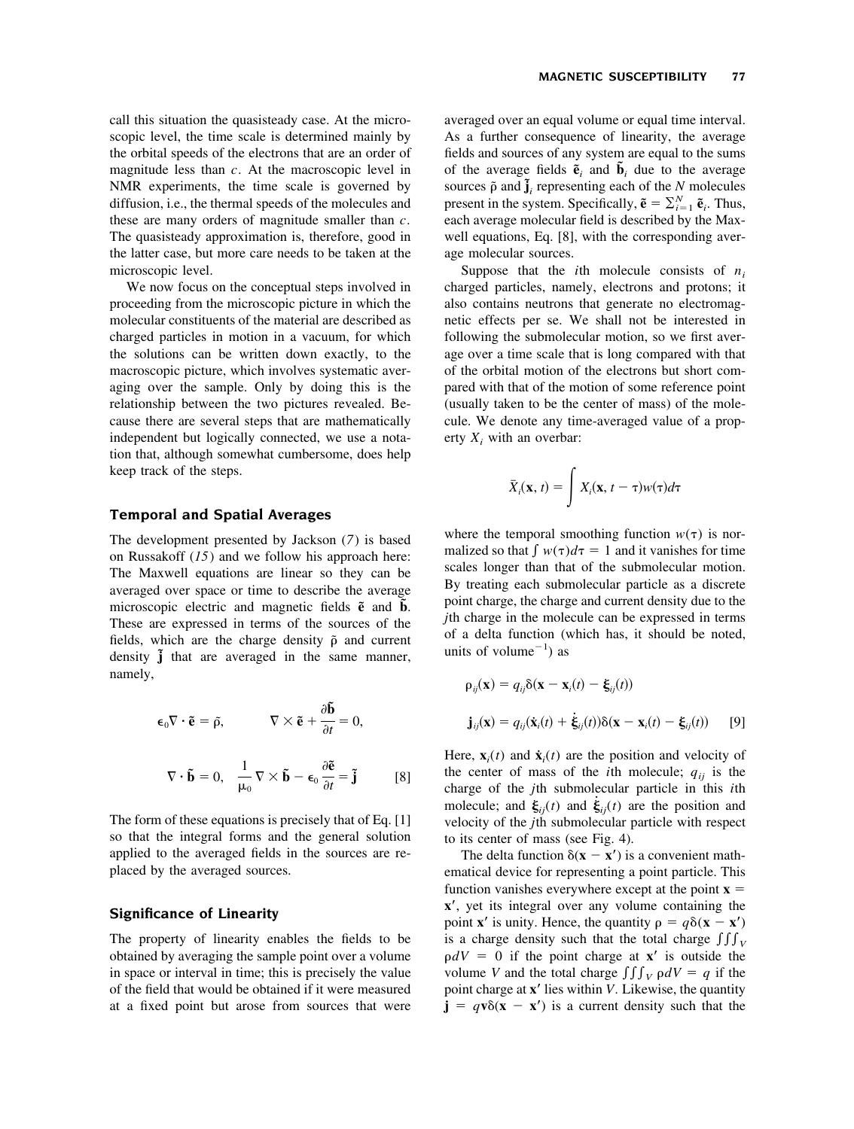call this situation the quasisteady case. At the microscopic level, the time scale is determined mainly by the orbital speeds of the electrons that are an order of magnitude less than *c*. At the macroscopic level in NMR experiments, the time scale is governed by diffusion, i.e., the thermal speeds of the molecules and these are many orders of magnitude smaller than *c*. The quasisteady approximation is, therefore, good in the latter case, but more care needs to be taken at the microscopic level.

We now focus on the conceptual steps involved in proceeding from the microscopic picture in which the molecular constituents of the material are described as charged particles in motion in a vacuum, for which the solutions can be written down exactly, to the macroscopic picture, which involves systematic averaging over the sample. Only by doing this is the relationship between the two pictures revealed. Because there are several steps that are mathematically independent but logically connected, we use a notation that, although somewhat cumbersome, does help keep track of the steps.

#### **Temporal and Spatial Averages**

The development presented by Jackson (*7*) is based on Russakoff (*15*) and we follow his approach here: The Maxwell equations are linear so they can be averaged over space or time to describe the average microscopic electric and magnetic fields  $\tilde{e}$  and **b**. These are expressed in terms of the sources of the fields, which are the charge density  $\tilde{\rho}$  and current density  $\tilde{j}$  that are averaged in the same manner, namely,

$$
\epsilon_0 \nabla \cdot \tilde{\mathbf{e}} = \tilde{\rho}, \qquad \nabla \times \tilde{\mathbf{e}} + \frac{\partial \tilde{\mathbf{b}}}{\partial t} = 0,
$$
  

$$
\nabla \cdot \tilde{\mathbf{b}} = 0, \quad \frac{1}{\mu_0} \nabla \times \tilde{\mathbf{b}} - \epsilon_0 \frac{\partial \tilde{\mathbf{e}}}{\partial t} = \tilde{\mathbf{j}} \qquad [8]
$$

The form of these equations is precisely that of Eq. [1] so that the integral forms and the general solution applied to the averaged fields in the sources are replaced by the averaged sources.

## **Significance of Linearity**

The property of linearity enables the fields to be obtained by averaging the sample point over a volume in space or interval in time; this is precisely the value of the field that would be obtained if it were measured at a fixed point but arose from sources that were averaged over an equal volume or equal time interval. As a further consequence of linearity, the average fields and sources of any system are equal to the sums of the average fields  $\tilde{\mathbf{e}}_i$  and  $\tilde{\mathbf{b}}_i$  due to the average sources  $\tilde{\rho}$  and  $\tilde{\mathbf{j}}_i$  representing each of the *N* molecules present in the system. Specifically,  $\tilde{\mathbf{e}} = \sum_{i=1}^{N} \tilde{\mathbf{e}}_i$ . Thus, each average molecular field is described by the Maxwell equations, Eq. [8], with the corresponding average molecular sources.

Suppose that the *i*th molecule consists of  $n_i$ charged particles, namely, electrons and protons; it also contains neutrons that generate no electromagnetic effects per se. We shall not be interested in following the submolecular motion, so we first average over a time scale that is long compared with that of the orbital motion of the electrons but short compared with that of the motion of some reference point (usually taken to be the center of mass) of the molecule. We denote any time-averaged value of a property  $X_i$  with an overbar:

$$
\bar{X}_i(\mathbf{x}, t) = \int X_i(\mathbf{x}, t - \tau) w(\tau) d\tau
$$

where the temporal smoothing function  $w(\tau)$  is normalized so that  $\int w(\tau) d\tau = 1$  and it vanishes for time scales longer than that of the submolecular motion. By treating each submolecular particle as a discrete point charge, the charge and current density due to the *j*th charge in the molecule can be expressed in terms of a delta function (which has, it should be noted, units of volume<sup> $-1$ </sup>) as

$$
\rho_{ij}(\mathbf{x}) = q_{ij}\delta(\mathbf{x} - \mathbf{x}_i(t) - \xi_{ij}(t))
$$
  

$$
\mathbf{j}_{ij}(\mathbf{x}) = q_{ij}(\dot{\mathbf{x}}_i(t) + \dot{\xi}_{ij}(t))\delta(\mathbf{x} - \mathbf{x}_i(t) - \xi_{ij}(t))
$$
[9]

Here,  $\mathbf{x}_i(t)$  and  $\dot{\mathbf{x}}_i(t)$  are the position and velocity of the center of mass of the *i*th molecule;  $q_{ii}$  is the charge of the *j*th submolecular particle in this *i*th molecule; and  $\dot{\xi}_{ij}(t)$  and  $\dot{\xi}_{ij}(t)$  are the position and velocity of the *j*th submolecular particle with respect to its center of mass (see Fig. 4).

The delta function  $\delta(\mathbf{x} - \mathbf{x}')$  is a convenient mathematical device for representing a point particle. This function vanishes everywhere except at the point  $\mathbf{x} =$ x', yet its integral over any volume containing the point **x**' is unity. Hence, the quantity  $\rho = q\delta(\mathbf{x} - \mathbf{x}')$ is a charge density such that the total charge  $\int \int \int_V$  $\rho dV = 0$  if the point charge at **x**<sup> $\prime$ </sup> is outside the volume *V* and the total charge  $\int \int \int_V \rho dV = q$  if the point charge at **x'** lies within *V*. Likewise, the quantity  $\mathbf{j} = q\mathbf{v}\delta(\mathbf{x} - \mathbf{x}')$  is a current density such that the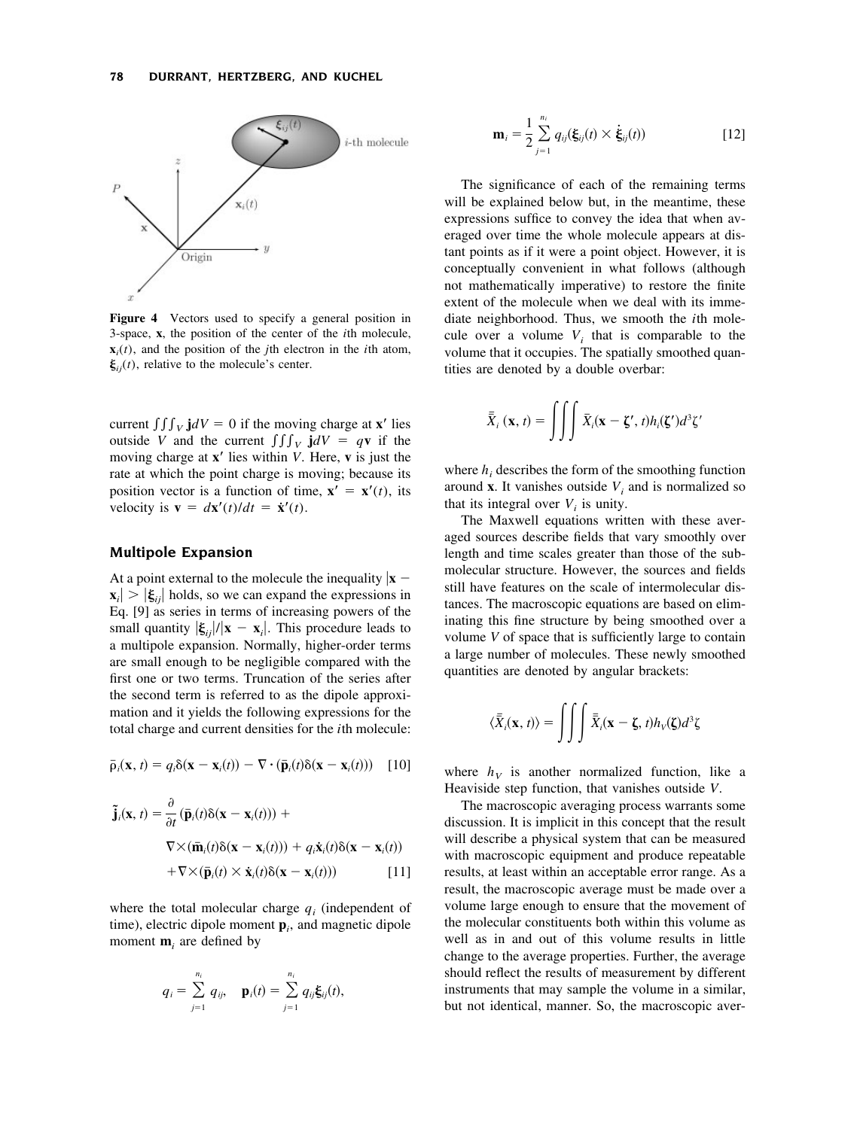

**Figure 4** Vectors used to specify a general position in 3-space, **x**, the position of the center of the *i*th molecule,  $\mathbf{x}_i(t)$ , and the position of the *j*th electron in the *i*th atom,  $\xi_{ii}(t)$ , relative to the molecule's center.

current  $\int \int \int_V \mathbf{j}dV = 0$  if the moving charge at **x**<sup> $\prime$ </sup> lies outside *V* and the current  $\int \int \int_V \mathbf{j} dV = q\mathbf{v}$  if the moving charge at **x**<sup>'</sup> lies within *V*. Here, **v** is just the rate at which the point charge is moving; because its position vector is a function of time,  $\mathbf{x}' = \mathbf{x}'(t)$ , its velocity is  $\mathbf{v} = d\mathbf{x}'(t)/dt = \dot{\mathbf{x}}'(t)$ .

#### **Multipole Expansion**

At a point external to the molecule the inequality  $|\mathbf{x} - \mathbf{z}|$  $|\mathbf{x}_i| > |\mathbf{\xi}_{ij}|$  holds, so we can expand the expressions in Eq. [9] as series in terms of increasing powers of the small quantity  $|\xi_{ij}|/|\mathbf{x} - \mathbf{x}_i|$ . This procedure leads to a multipole expansion. Normally, higher-order terms are small enough to be negligible compared with the first one or two terms. Truncation of the series after the second term is referred to as the dipole approximation and it yields the following expressions for the total charge and current densities for the *i*th molecule:

$$
\bar{\rho}_i(\mathbf{x}, t) = q_i \delta(\mathbf{x} - \mathbf{x}_i(t)) - \nabla \cdot (\bar{\mathbf{p}}_i(t) \delta(\mathbf{x} - \mathbf{x}_i(t))) \quad [10]
$$

$$
\tilde{\mathbf{j}}_i(\mathbf{x}, t) = \frac{\partial}{\partial t} \left( \bar{\mathbf{p}}_i(t) \delta(\mathbf{x} - \mathbf{x}_i(t)) \right) +
$$
\n
$$
\nabla \times (\bar{\mathbf{m}}_i(t) \delta(\mathbf{x} - \mathbf{x}_i(t))) + q_i \dot{\mathbf{x}}_i(t) \delta(\mathbf{x} - \mathbf{x}_i(t))
$$
\n
$$
+ \nabla \times (\bar{\mathbf{p}}_i(t) \times \dot{\mathbf{x}}_i(t) \delta(\mathbf{x} - \mathbf{x}_i(t))) \qquad [11]
$$

where the total molecular charge  $q_i$  (independent of time), electric dipole moment  $\mathbf{p}_i$ , and magnetic dipole moment  $\mathbf{m}_i$  are defined by

$$
q_i = \sum_{j=1}^{n_i} q_{ij}, \quad \mathbf{p}_i(t) = \sum_{j=1}^{n_i} q_{ij} \xi_{ij}(t),
$$

$$
\mathbf{m}_{i} = \frac{1}{2} \sum_{j=1}^{n_{i}} q_{ij}(\xi_{ij}(t) \times \dot{\xi}_{ij}(t))
$$
 [12]

The significance of each of the remaining terms will be explained below but, in the meantime, these expressions suffice to convey the idea that when averaged over time the whole molecule appears at distant points as if it were a point object. However, it is conceptually convenient in what follows (although not mathematically imperative) to restore the finite extent of the molecule when we deal with its immediate neighborhood. Thus, we smooth the *i*th molecule over a volume  $V_i$  that is comparable to the volume that it occupies. The spatially smoothed quantities are denoted by a double overbar:

$$
\bar{\bar{X}}_i(\mathbf{x},t) = \iiint \bar{X}_i(\mathbf{x}-\boldsymbol{\zeta}',t)h_i(\boldsymbol{\zeta}')d^3\boldsymbol{\zeta}'
$$

where  $h_i$  describes the form of the smoothing function around **x**. It vanishes outside  $V_i$  and is normalized so that its integral over  $V_i$  is unity.

The Maxwell equations written with these averaged sources describe fields that vary smoothly over length and time scales greater than those of the submolecular structure. However, the sources and fields still have features on the scale of intermolecular distances. The macroscopic equations are based on eliminating this fine structure by being smoothed over a volume *V* of space that is sufficiently large to contain a large number of molecules. These newly smoothed quantities are denoted by angular brackets:

$$
\langle \bar{\bar{X}}_i(\mathbf{x}, t) \rangle = \iiint \bar{\bar{X}}_i(\mathbf{x} - \zeta, t) h_V(\zeta) d^3 \zeta
$$

where  $h_V$  is another normalized function, like a Heaviside step function, that vanishes outside *V*.

The macroscopic averaging process warrants some discussion. It is implicit in this concept that the result will describe a physical system that can be measured with macroscopic equipment and produce repeatable results, at least within an acceptable error range. As a result, the macroscopic average must be made over a volume large enough to ensure that the movement of the molecular constituents both within this volume as well as in and out of this volume results in little change to the average properties. Further, the average should reflect the results of measurement by different instruments that may sample the volume in a similar, but not identical, manner. So, the macroscopic aver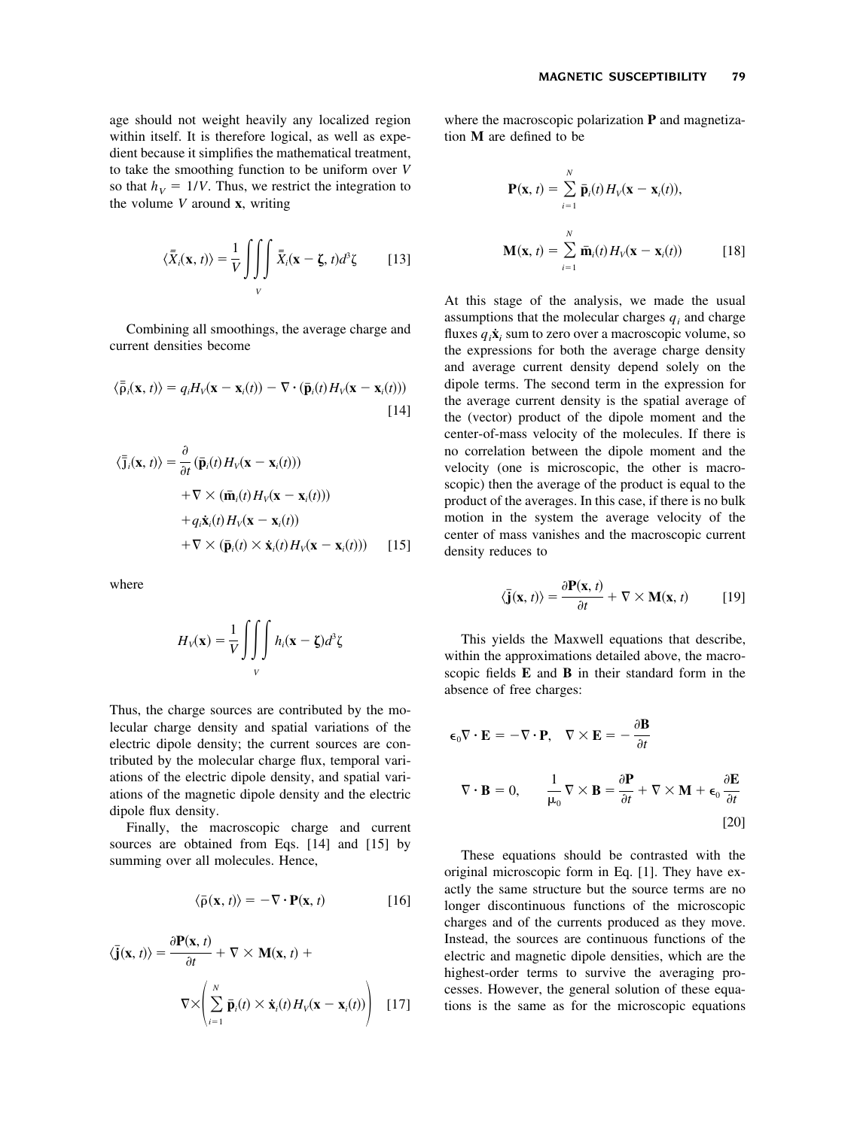age should not weight heavily any localized region within itself. It is therefore logical, as well as expedient because it simplifies the mathematical treatment, to take the smoothing function to be uniform over *V* so that  $h_V = 1/V$ . Thus, we restrict the integration to the volume *V* around **x**, writing

$$
\langle \bar{\bar{X}}_i(\mathbf{x}, t) \rangle = \frac{1}{V} \iiint_V \bar{\bar{X}}_i(\mathbf{x} - \zeta, t) d^3 \zeta
$$
 [13]

Combining all smoothings, the average charge and current densities become

$$
\langle \bar{\bar{\mathbf{p}}}_i(\mathbf{x}, t) \rangle = q_i H_V(\mathbf{x} - \mathbf{x}_i(t)) - \nabla \cdot (\bar{\mathbf{p}}_i(t) H_V(\mathbf{x} - \mathbf{x}_i(t)))
$$
\n[14]

$$
\langle \overline{J}_i(\mathbf{x}, t) \rangle = \frac{\partial}{\partial t} \left( \overline{\mathbf{p}}_i(t) H_V(\mathbf{x} - \mathbf{x}_i(t)) \right) \n+ \nabla \times (\overline{\mathbf{m}}_i(t) H_V(\mathbf{x} - \mathbf{x}_i(t))) \n+ q_i \dot{\mathbf{x}}_i(t) H_V(\mathbf{x} - \mathbf{x}_i(t)) \n+ \nabla \times (\overline{\mathbf{p}}_i(t) \times \dot{\mathbf{x}}_i(t) H_V(\mathbf{x} - \mathbf{x}_i(t))) \quad [15]
$$

where

$$
H_V(\mathbf{x}) = \frac{1}{V} \int \int \int \int \int h_i(\mathbf{x} - \zeta) d^3 \zeta
$$

Thus, the charge sources are contributed by the molecular charge density and spatial variations of the electric dipole density; the current sources are contributed by the molecular charge flux, temporal variations of the electric dipole density, and spatial variations of the magnetic dipole density and the electric dipole flux density.

Finally, the macroscopic charge and current sources are obtained from Eqs. [14] and [15] by summing over all molecules. Hence,

$$
\langle \bar{\rho}(\mathbf{x}, t) \rangle = -\nabla \cdot \mathbf{P}(\mathbf{x}, t) \quad [16]
$$

$$
\langle \overline{\mathbf{j}}(\mathbf{x}, t) \rangle = \frac{\partial \mathbf{P}(\mathbf{x}, t)}{\partial t} + \nabla \times \mathbf{M}(\mathbf{x}, t) + \nabla \times \left( \sum_{i=1}^{N} \overline{\mathbf{p}}_i(t) \times \dot{\mathbf{x}}_i(t) H_V(\mathbf{x} - \mathbf{x}_i(t)) \right) \quad [17]
$$

where the macroscopic polarization **P** and magnetization **M** are defined to be

$$
\mathbf{P}(\mathbf{x}, t) = \sum_{i=1}^{N} \bar{\mathbf{p}}_i(t) H_V(\mathbf{x} - \mathbf{x}_i(t)),
$$
  

$$
\mathbf{M}(\mathbf{x}, t) = \sum_{i=1}^{N} \bar{\mathbf{m}}_i(t) H_V(\mathbf{x} - \mathbf{x}_i(t))
$$
[18]

At this stage of the analysis, we made the usual assumptions that the molecular charges  $q_i$  and charge fluxes  $q_i$  $\dot{x}_i$  sum to zero over a macroscopic volume, so the expressions for both the average charge density and average current density depend solely on the dipole terms. The second term in the expression for the average current density is the spatial average of the (vector) product of the dipole moment and the center-of-mass velocity of the molecules. If there is no correlation between the dipole moment and the velocity (one is microscopic, the other is macroscopic) then the average of the product is equal to the product of the averages. In this case, if there is no bulk motion in the system the average velocity of the center of mass vanishes and the macroscopic current density reduces to

$$
\langle \mathbf{\bar{j}}(\mathbf{x}, t) \rangle = \frac{\partial \mathbf{P}(\mathbf{x}, t)}{\partial t} + \nabla \times \mathbf{M}(\mathbf{x}, t) \quad [19]
$$

This yields the Maxwell equations that describe, within the approximations detailed above, the macroscopic fields **E** and **B** in their standard form in the absence of free charges:

$$
\epsilon_0 \nabla \cdot \mathbf{E} = -\nabla \cdot \mathbf{P}, \quad \nabla \times \mathbf{E} = -\frac{\partial \mathbf{B}}{\partial t}
$$

$$
\nabla \cdot \mathbf{B} = 0, \qquad \frac{1}{\mu_0} \nabla \times \mathbf{B} = \frac{\partial \mathbf{P}}{\partial t} + \nabla \times \mathbf{M} + \epsilon_0 \frac{\partial \mathbf{E}}{\partial t}
$$
[20]

These equations should be contrasted with the original microscopic form in Eq. [1]. They have exactly the same structure but the source terms are no longer discontinuous functions of the microscopic charges and of the currents produced as they move. Instead, the sources are continuous functions of the electric and magnetic dipole densities, which are the highest-order terms to survive the averaging processes. However, the general solution of these equations is the same as for the microscopic equations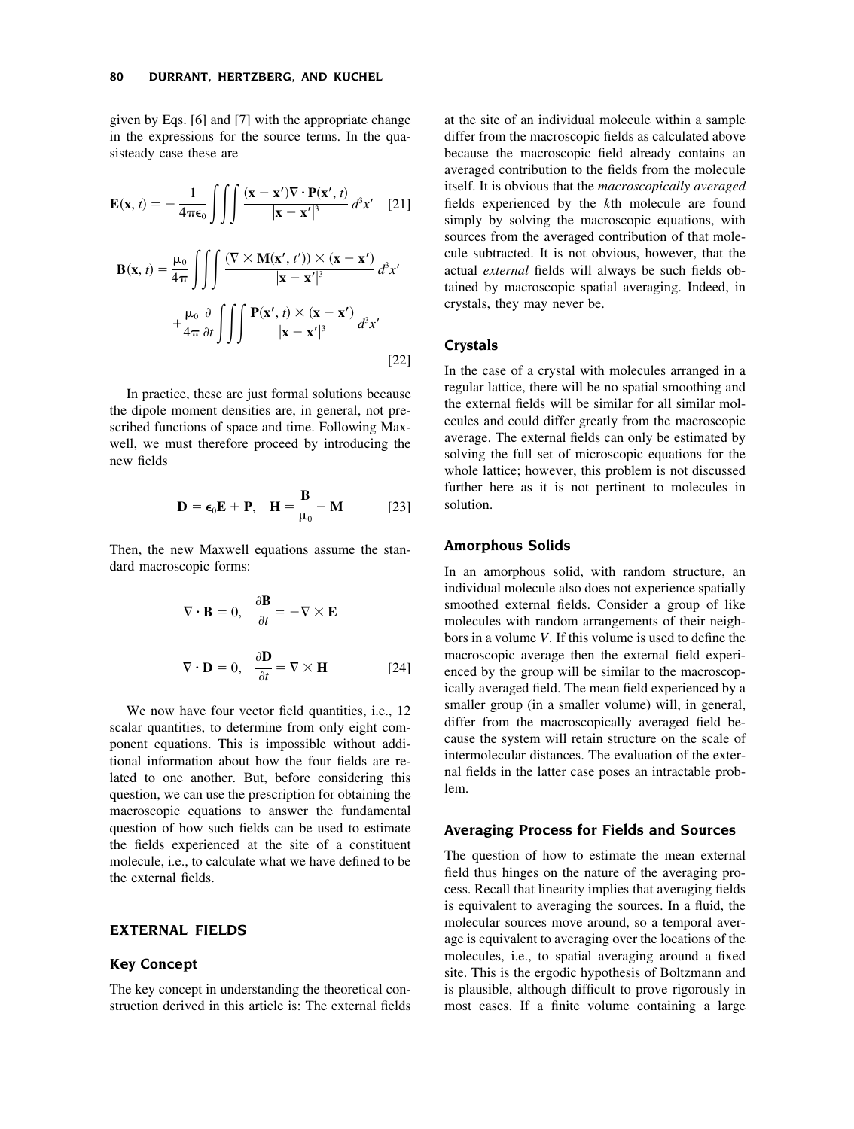given by Eqs. [6] and [7] with the appropriate change in the expressions for the source terms. In the quasisteady case these are

$$
\mathbf{E}(\mathbf{x}, t) = -\frac{1}{4\pi\epsilon_0} \iiint \frac{(\mathbf{x} - \mathbf{x}')\nabla \cdot \mathbf{P}(\mathbf{x}', t)}{|\mathbf{x} - \mathbf{x}'|^3} d^3x' \quad [21]
$$

$$
\mathbf{B}(\mathbf{x}, t) = \frac{\mu_0}{4\pi} \iiint \frac{(\nabla \times \mathbf{M}(\mathbf{x}', t')) \times (\mathbf{x} - \mathbf{x}')}{|\mathbf{x} - \mathbf{x}'|^3} d^3x'
$$

$$
+ \frac{\mu_0}{4\pi} \frac{\partial}{\partial t} \iiint \frac{\mathbf{P}(\mathbf{x}', t) \times (\mathbf{x} - \mathbf{x}')}{|\mathbf{x} - \mathbf{x}'|^3} d^3x'
$$
[22]

In practice, these are just formal solutions because the dipole moment densities are, in general, not prescribed functions of space and time. Following Maxwell, we must therefore proceed by introducing the new fields

$$
\mathbf{D} = \boldsymbol{\epsilon}_0 \mathbf{E} + \mathbf{P}, \quad \mathbf{H} = \frac{\mathbf{B}}{\mu_0} - \mathbf{M} \quad [23]
$$

Then, the new Maxwell equations assume the standard macroscopic forms:

$$
\nabla \cdot \mathbf{B} = 0, \quad \frac{\partial \mathbf{B}}{\partial t} = -\nabla \times \mathbf{E}
$$

$$
\nabla \cdot \mathbf{D} = 0, \quad \frac{\partial \mathbf{D}}{\partial t} = \nabla \times \mathbf{H}
$$
[24]

We now have four vector field quantities, i.e., 12 scalar quantities, to determine from only eight component equations. This is impossible without additional information about how the four fields are related to one another. But, before considering this question, we can use the prescription for obtaining the macroscopic equations to answer the fundamental question of how such fields can be used to estimate the fields experienced at the site of a constituent molecule, i.e., to calculate what we have defined to be the external fields.

# **EXTERNAL FIELDS**

## **Key Concept**

The key concept in understanding the theoretical construction derived in this article is: The external fields at the site of an individual molecule within a sample differ from the macroscopic fields as calculated above because the macroscopic field already contains an averaged contribution to the fields from the molecule itself. It is obvious that the *macroscopically averaged* fields experienced by the *k*th molecule are found simply by solving the macroscopic equations, with sources from the averaged contribution of that molecule subtracted. It is not obvious, however, that the actual *external* fields will always be such fields obtained by macroscopic spatial averaging. Indeed, in crystals, they may never be.

## **Crystals**

In the case of a crystal with molecules arranged in a regular lattice, there will be no spatial smoothing and the external fields will be similar for all similar molecules and could differ greatly from the macroscopic average. The external fields can only be estimated by solving the full set of microscopic equations for the whole lattice; however, this problem is not discussed further here as it is not pertinent to molecules in solution.

## **Amorphous Solids**

In an amorphous solid, with random structure, an individual molecule also does not experience spatially smoothed external fields. Consider a group of like molecules with random arrangements of their neighbors in a volume *V*. If this volume is used to define the macroscopic average then the external field experienced by the group will be similar to the macroscopically averaged field. The mean field experienced by a smaller group (in a smaller volume) will, in general, differ from the macroscopically averaged field because the system will retain structure on the scale of intermolecular distances. The evaluation of the external fields in the latter case poses an intractable problem.

#### **Averaging Process for Fields and Sources**

The question of how to estimate the mean external field thus hinges on the nature of the averaging process. Recall that linearity implies that averaging fields is equivalent to averaging the sources. In a fluid, the molecular sources move around, so a temporal average is equivalent to averaging over the locations of the molecules, i.e., to spatial averaging around a fixed site. This is the ergodic hypothesis of Boltzmann and is plausible, although difficult to prove rigorously in most cases. If a finite volume containing a large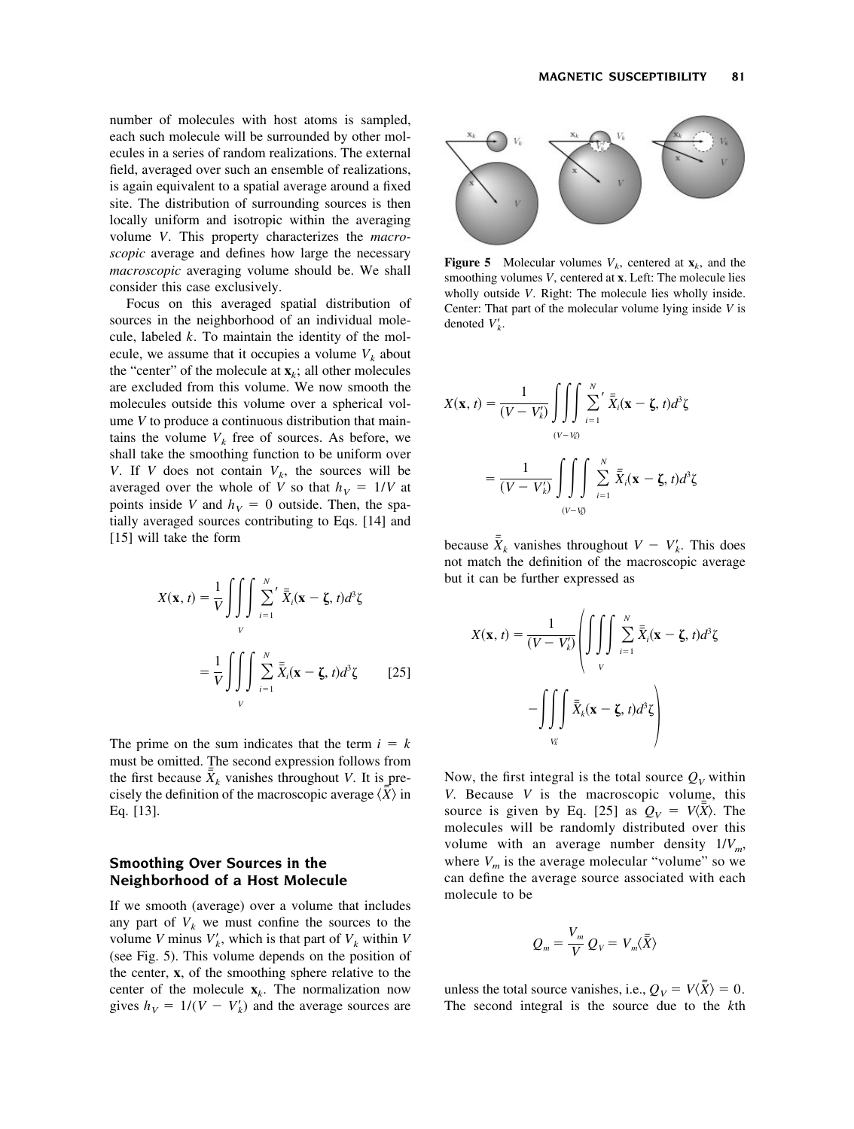number of molecules with host atoms is sampled, each such molecule will be surrounded by other molecules in a series of random realizations. The external field, averaged over such an ensemble of realizations, is again equivalent to a spatial average around a fixed site. The distribution of surrounding sources is then locally uniform and isotropic within the averaging volume *V*. This property characterizes the *macroscopic* average and defines how large the necessary *macroscopic* averaging volume should be. We shall consider this case exclusively.

Focus on this averaged spatial distribution of sources in the neighborhood of an individual molecule, labeled *k*. To maintain the identity of the molecule, we assume that it occupies a volume  $V_k$  about the "center" of the molecule at  $\mathbf{x}_k$ ; all other molecules are excluded from this volume. We now smooth the molecules outside this volume over a spherical volume *V* to produce a continuous distribution that maintains the volume  $V_k$  free of sources. As before, we shall take the smoothing function to be uniform over *V*. If *V* does not contain  $V_k$ , the sources will be averaged over the whole of *V* so that  $h_V = 1/V$  at points inside *V* and  $h_V = 0$  outside. Then, the spatially averaged sources contributing to Eqs. [14] and [15] will take the form

$$
X(\mathbf{x}, t) = \frac{1}{V} \iiint_{V} \sum_{i=1}^{N} \overline{\overline{X}}_i (\mathbf{x} - \zeta, t) d^3 \zeta
$$

$$
= \frac{1}{V} \iiint_{V} \sum_{i=1}^{N} \overline{\overline{X}}_i (\mathbf{x} - \zeta, t) d^3 \zeta
$$
[25]

The prime on the sum indicates that the term  $i = k$ must be omitted. The second expression follows from the first because  $\bar{\bar{X}}_k$  vanishes throughout *V*. It is precisely the definition of the macroscopic average  $\langle \bar{X} \rangle$  in Eq. [13].

# **Smoothing Over Sources in the Neighborhood of a Host Molecule**

If we smooth (average) over a volume that includes any part of  $V_k$  we must confine the sources to the volume *V* minus  $V'_k$ , which is that part of  $V_k$  within *V* (see Fig. 5). This volume depends on the position of the center, **x**, of the smoothing sphere relative to the center of the molecule  $\mathbf{x}_k$ . The normalization now gives  $h_V = 1/(V - V'_k)$  and the average sources are



**Figure 5** Molecular volumes  $V_k$ , centered at  $\mathbf{x}_k$ , and the smoothing volumes *V*, centered at **x**. Left: The molecule lies wholly outside *V*. Right: The molecule lies wholly inside. Center: That part of the molecular volume lying inside *V* is denoted  $V'_{k}$ .

$$
X(\mathbf{x}, t) = \frac{1}{(V - V'_k)} \iiint\limits_{(V - V'_k)} \sum_{i=1}^N \overline{\overline{X}}_i(\mathbf{x} - \zeta, t) d^3 \zeta
$$

$$
= \frac{1}{(V - V'_k)} \iiint\limits_{(V - V'_k)} \sum_{i=1}^N \overline{\overline{X}}_i(\mathbf{x} - \zeta, t) d^3 \zeta
$$

because  $\bar{\bar{X}}_k$  vanishes throughout  $V - V'_k$ . This does not match the definition of the macroscopic average but it can be further expressed as

$$
X(\mathbf{x}, t) = \frac{1}{(V - V_k')} \left( \int \int \int \sum_{i=1}^N \overline{\overline{X}}_i (\mathbf{x} - \zeta, t) d^3 \zeta \right)
$$

$$
- \int \int \int \overline{\overline{X}}_k (\mathbf{x} - \zeta, t) d^3 \zeta
$$

$$
V_k
$$

Now, the first integral is the total source  $Q_V$  within *V*. Because *V* is the macroscopic volume, this source is given by Eq. [25] as  $Q_V = V\langle \bar{X} \rangle$ . The molecules will be randomly distributed over this volume with an average number density  $1/V_m$ , where  $V_m$  is the average molecular "volume" so we can define the average source associated with each molecule to be

$$
Q_m = \frac{V_m}{V} Q_V = V_m \langle \bar{\bar{X}} \rangle
$$

unless the total source vanishes, i.e.,  $Q_V = V \langle \bar{X} \rangle = 0$ . The second integral is the source due to the *k*th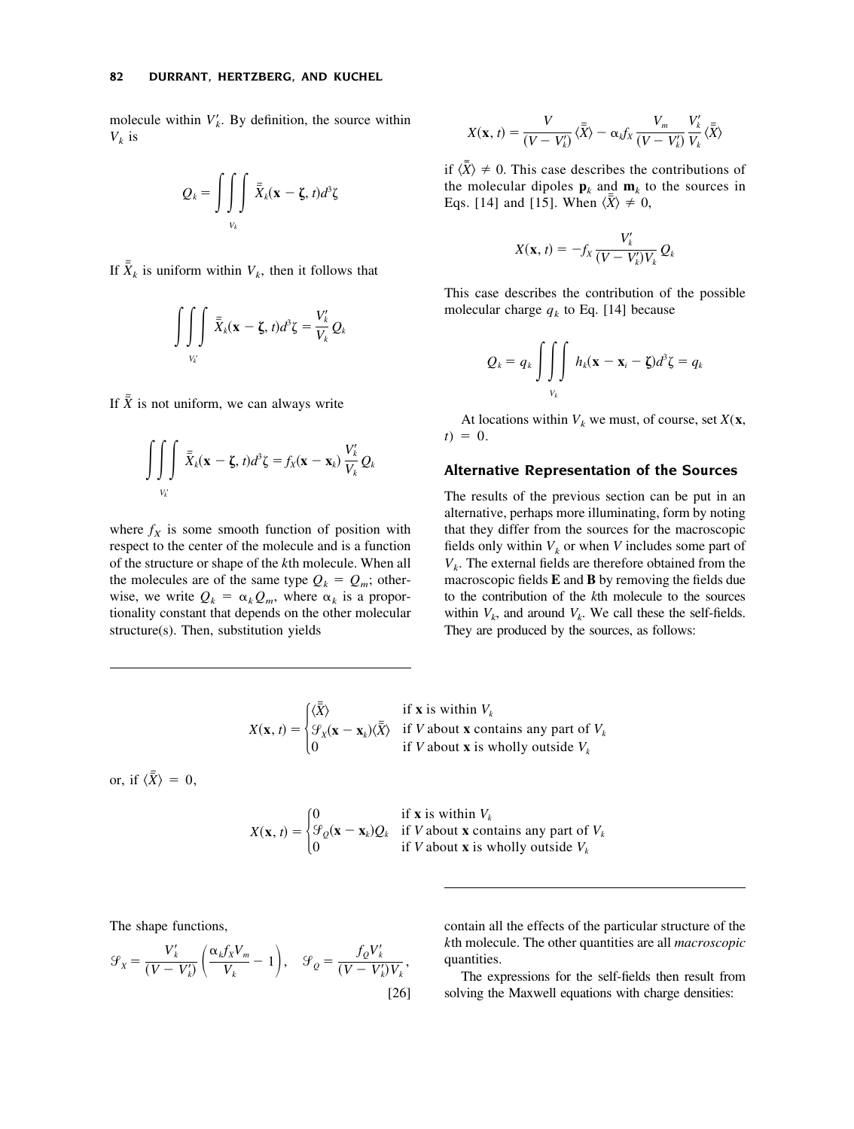molecule within  $V'_k$ . By definition, the source within  $V_k$  is

$$
Q_k = \iiint_{V_k} \bar{\bar{X}}_k(\mathbf{x} - \zeta, t) d^3 \zeta
$$

If  $\bar{X}_k$  is uniform within  $V_k$ , then it follows that

$$
\iiint\limits_{V'_k} \bar{\bar{X}}_k(\mathbf{x}-\boldsymbol{\zeta},t)d^3\zeta = \frac{V'_k}{V_k}Q_k
$$

If  $\bar{X}$  is not uniform, we can always write

$$
\iiint\limits_{V'_k} \bar{\bar{X}}_k(\mathbf{x}-\boldsymbol{\zeta},t)d^3\zeta = f_X(\mathbf{x}-\mathbf{x}_k)\frac{V'_k}{V_k}Q_k
$$

where  $f_X$  is some smooth function of position with respect to the center of the molecule and is a function of the structure or shape of the *k*th molecule. When all the molecules are of the same type  $Q_k = Q_m$ ; otherwise, we write  $Q_k = \alpha_k Q_m$ , where  $\alpha_k$  is a proportionality constant that depends on the other molecular structure(s). Then, substitution yields

$$
X(\mathbf{x}, t) = \frac{V}{(V - V_k')} \langle \bar{\bar{X}} \rangle - \alpha_k f_X \frac{V_m}{(V - V_k')} \frac{V_k'}{V_k} \langle \bar{\bar{X}} \rangle
$$

if  $\langle \bar{\bar{X}} \rangle \neq 0$ . This case describes the contributions of the molecular dipoles  $\mathbf{p}_k$  and  $\mathbf{m}_k$  to the sources in Eqs. [14] and [15]. When  $\langle X \rangle \neq 0$ ,

$$
X(\mathbf{x}, t) = -f_X \frac{V'_k}{(V - V'_k)V_k} Q_k
$$

This case describes the contribution of the possible molecular charge  $q_k$  to Eq. [14] because

$$
Q_k = q_k \int \int \int \int h_k(\mathbf{x} - \mathbf{x}_i - \zeta) d^3 \zeta = q_k
$$

At locations within  $V_k$  we must, of course, set  $X(\mathbf{x})$ ,  $t) = 0.$ 

## **Alternative Representation of the Sources**

The results of the previous section can be put in an alternative, perhaps more illuminating, form by noting that they differ from the sources for the macroscopic fields only within  $V_k$  or when *V* includes some part of  $V_k$ . The external fields are therefore obtained from the macroscopic fields **E** and **B** by removing the fields due to the contribution of the *k*th molecule to the sources within  $V_k$ , and around  $V_k$ . We call these the self-fields. They are produced by the sources, as follows:

$$
X(\mathbf{x}, t) = \begin{cases} \langle \bar{\bar{X}} \rangle & \text{if } \mathbf{x} \text{ is within } V_k \\ \mathcal{G}_X(\mathbf{x} - \mathbf{x}_k) \langle \bar{\bar{X}} \rangle & \text{if } V \text{ about } \mathbf{x} \text{ contains any part of } V_k \\ 0 & \text{if } V \text{ about } \mathbf{x} \text{ is wholly outside } V_k \end{cases}
$$

or, if  $\langle \bar{\bar{X}} \rangle = 0$ ,

$$
X(\mathbf{x}, t) = \begin{cases} 0 & \text{if } \mathbf{x} \text{ is within } V_k \\ \mathcal{G}_{\mathcal{Q}}(\mathbf{x} - \mathbf{x}_k)Q_k & \text{if } V \text{ about } \mathbf{x} \text{ contains any part of } V_k \\ 0 & \text{if } V \text{ about } \mathbf{x} \text{ is wholly outside } V_k \end{cases}
$$

The shape functions,

$$
\mathcal{G}_X = \frac{V'_k}{(V - V'_k)} \left( \frac{\alpha_k f_X V_m}{V_k} - 1 \right), \quad \mathcal{G}_Q = \frac{f_Q V'_k}{(V - V'_k) V_k},
$$
\n[26]

contain all the effects of the particular structure of the *k*th molecule. The other quantities are all *macroscopic* quantities.

The expressions for the self-fields then result from solving the Maxwell equations with charge densities: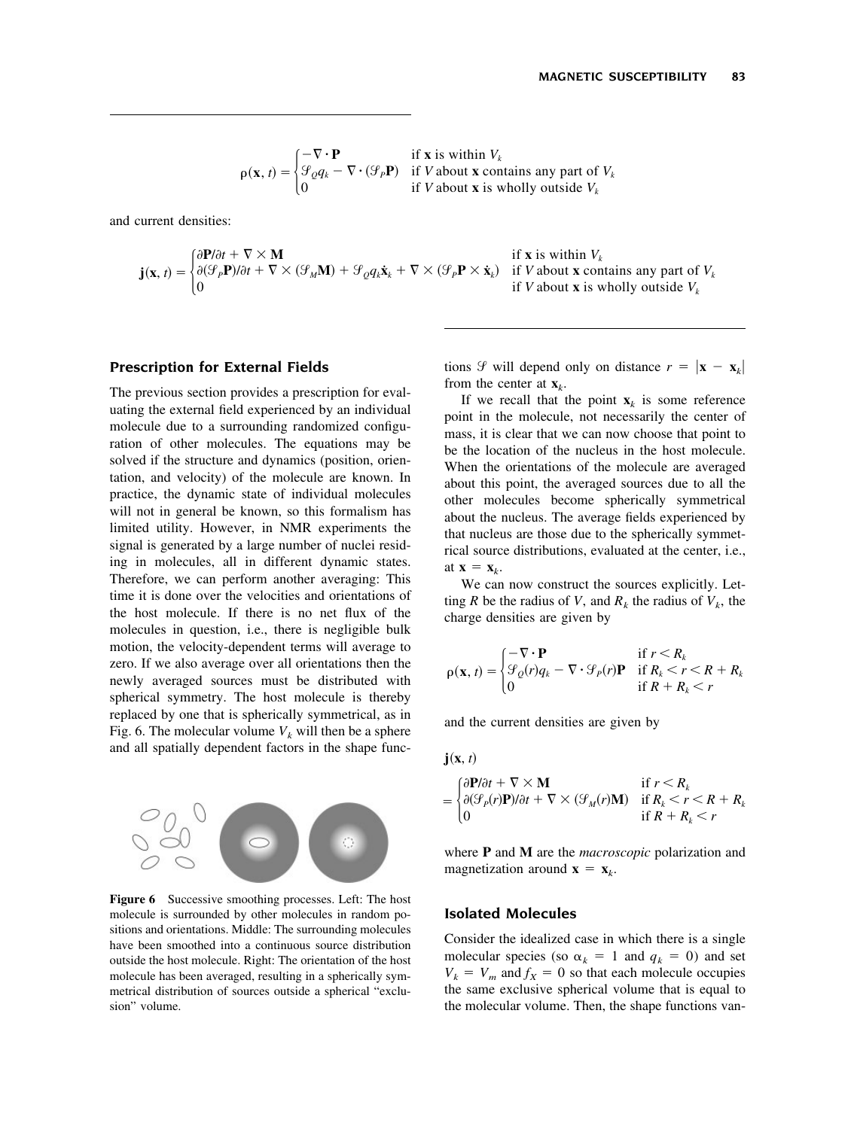$$
\rho(\mathbf{x}, t) = \begin{cases}\n-\nabla \cdot \mathbf{P} & \text{if } \mathbf{x} \text{ is within } V_k \\
\mathcal{G}_{Q}q_k - \nabla \cdot (\mathcal{G}_P \mathbf{P}) & \text{if } V \text{ about } \mathbf{x} \text{ contains any part of } V_k \\
0 & \text{if } V \text{ about } \mathbf{x} \text{ is wholly outside } V_k\n\end{cases}
$$

and current densities:

$$
\mathbf{j}(\mathbf{x}, t) = \begin{cases} \frac{\partial \mathbf{P}}{\partial t} + \nabla \times \mathbf{M} & \text{if } \mathbf{x} \text{ is within } V_k \\ \frac{\partial (\mathcal{G}_P \mathbf{P})}{\partial t} + \nabla \times (\mathcal{G}_M \mathbf{M}) + \mathcal{G}_Q q_k \dot{\mathbf{x}}_k + \nabla \times (\mathcal{G}_P \mathbf{P} \times \dot{\mathbf{x}}_k) & \text{if } V \text{ about } \mathbf{x} \text{ contains any part of } V_k \\ 0 & \text{if } V \text{ about } \mathbf{x} \text{ is wholly outside } V_k \end{cases}
$$

#### **Prescription for External Fields**

The previous section provides a prescription for evaluating the external field experienced by an individual molecule due to a surrounding randomized configuration of other molecules. The equations may be solved if the structure and dynamics (position, orientation, and velocity) of the molecule are known. In practice, the dynamic state of individual molecules will not in general be known, so this formalism has limited utility. However, in NMR experiments the signal is generated by a large number of nuclei residing in molecules, all in different dynamic states. Therefore, we can perform another averaging: This time it is done over the velocities and orientations of the host molecule. If there is no net flux of the molecules in question, i.e., there is negligible bulk motion, the velocity-dependent terms will average to zero. If we also average over all orientations then the newly averaged sources must be distributed with spherical symmetry. The host molecule is thereby replaced by one that is spherically symmetrical, as in Fig. 6. The molecular volume  $V_k$  will then be a sphere and all spatially dependent factors in the shape func-



**Figure 6** Successive smoothing processes. Left: The host molecule is surrounded by other molecules in random positions and orientations. Middle: The surrounding molecules have been smoothed into a continuous source distribution outside the host molecule. Right: The orientation of the host molecule has been averaged, resulting in a spherically symmetrical distribution of sources outside a spherical "exclusion" volume.

tions *y* will depend only on distance  $r = |\mathbf{x} - \mathbf{x}_k|$ from the center at  $\mathbf{x}_k$ .

If we recall that the point  $\mathbf{x}_k$  is some reference point in the molecule, not necessarily the center of mass, it is clear that we can now choose that point to be the location of the nucleus in the host molecule. When the orientations of the molecule are averaged about this point, the averaged sources due to all the other molecules become spherically symmetrical about the nucleus. The average fields experienced by that nucleus are those due to the spherically symmetrical source distributions, evaluated at the center, i.e., at  $\mathbf{x} = \mathbf{x}_k$ .

We can now construct the sources explicitly. Letting *R* be the radius of *V*, and  $R_k$  the radius of  $V_k$ , the charge densities are given by

$$
\rho(\mathbf{x}, t) = \begin{cases}\n-\nabla \cdot \mathbf{P} & \text{if } r < R_k \\
\mathcal{G}_Q(r)q_k - \nabla \cdot \mathcal{G}_P(r)\mathbf{P} & \text{if } R_k < r < R + R_k \\
0 & \text{if } R + R_k < r\n\end{cases}
$$

and the current densities are given by

$$
\mathbf{j}(\mathbf{x},t)
$$

$$
= \begin{cases} \frac{\partial \mathbf{P}}{\partial t} + \nabla \times \mathbf{M} & \text{if } r < R_k \\ \frac{\partial (\mathcal{G}_P(r)\mathbf{P})}{\partial t} + \nabla \times (\mathcal{G}_M(r)\mathbf{M}) & \text{if } R_k < r < R + R_k \\ 0 & \text{if } R + R_k < r \end{cases}
$$

where **P** and **M** are the *macroscopic* polarization and magnetization around  $\mathbf{x} = \mathbf{x}_k$ .

## **Isolated Molecules**

Consider the idealized case in which there is a single molecular species (so  $\alpha_k = 1$  and  $q_k = 0$ ) and set  $V_k = V_m$  and  $f_X = 0$  so that each molecule occupies the same exclusive spherical volume that is equal to the molecular volume. Then, the shape functions van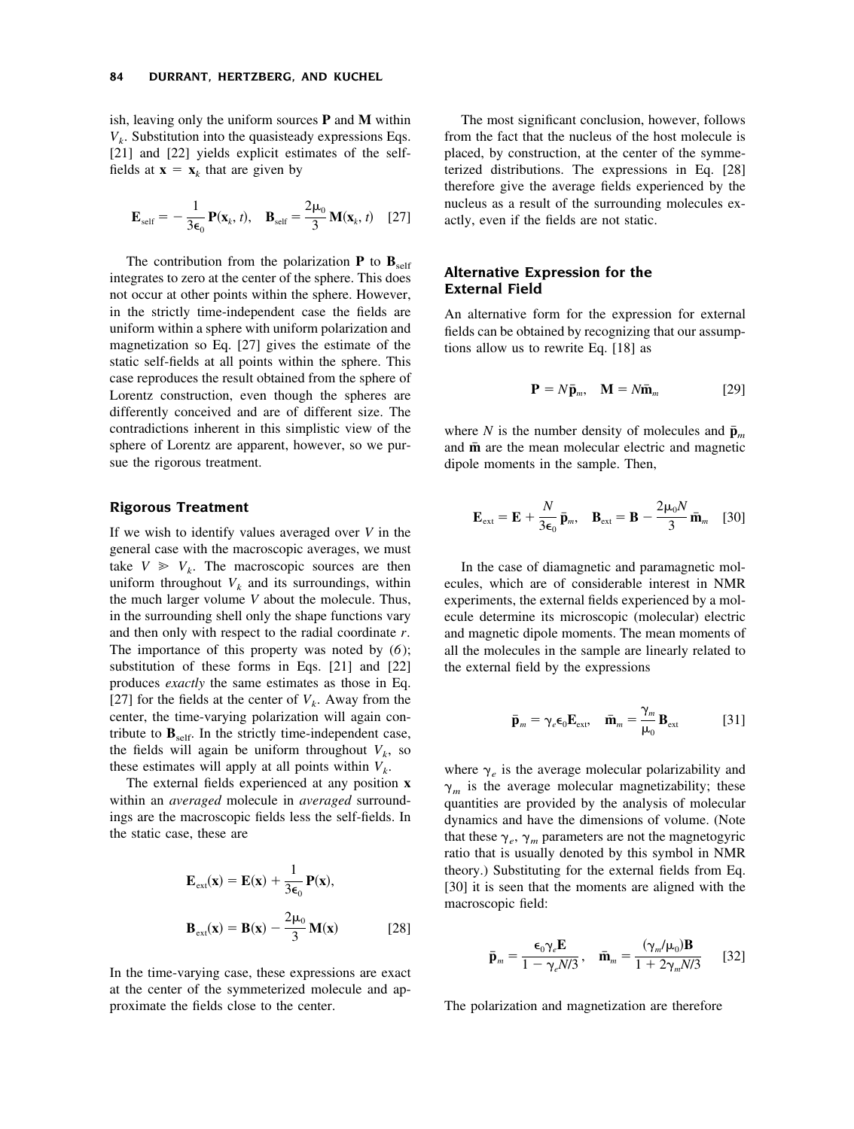ish, leaving only the uniform sources **P** and **M** within  $V_k$ . Substitution into the quasisteady expressions Eqs. [21] and [22] yields explicit estimates of the selffields at  $\mathbf{x} = \mathbf{x}_k$  that are given by

$$
\mathbf{E}_{\text{self}} = -\frac{1}{3\epsilon_0} \mathbf{P}(\mathbf{x}_k, t), \quad \mathbf{B}_{\text{self}} = \frac{2\mu_0}{3} \mathbf{M}(\mathbf{x}_k, t) \quad [27]
$$

The contribution from the polarization **P** to  $\mathbf{B}_{\text{self}}$ integrates to zero at the center of the sphere. This does not occur at other points within the sphere. However, in the strictly time-independent case the fields are uniform within a sphere with uniform polarization and magnetization so Eq. [27] gives the estimate of the static self-fields at all points within the sphere. This case reproduces the result obtained from the sphere of Lorentz construction, even though the spheres are differently conceived and are of different size. The contradictions inherent in this simplistic view of the sphere of Lorentz are apparent, however, so we pursue the rigorous treatment.

#### **Rigorous Treatment**

If we wish to identify values averaged over *V* in the general case with the macroscopic averages, we must take  $V \ge V_k$ . The macroscopic sources are then uniform throughout  $V_k$  and its surroundings, within the much larger volume *V* about the molecule. Thus, in the surrounding shell only the shape functions vary and then only with respect to the radial coordinate *r*. The importance of this property was noted by (*6*); substitution of these forms in Eqs. [21] and [22] produces *exactly* the same estimates as those in Eq. [27] for the fields at the center of  $V_k$ . Away from the center, the time-varying polarization will again contribute to  $\mathbf{B}_{\text{self}}$ . In the strictly time-independent case, the fields will again be uniform throughout  $V_k$ , so these estimates will apply at all points within  $V_k$ .

The external fields experienced at any position **x** within an *averaged* molecule in *averaged* surroundings are the macroscopic fields less the self-fields. In the static case, these are

$$
\mathbf{E}_{ext}(\mathbf{x}) = \mathbf{E}(\mathbf{x}) + \frac{1}{3\epsilon_0} \mathbf{P}(\mathbf{x}),
$$
  

$$
\mathbf{B}_{ext}(\mathbf{x}) = \mathbf{B}(\mathbf{x}) - \frac{2\mu_0}{3} \mathbf{M}(\mathbf{x})
$$
 [28]

In the time-varying case, these expressions are exact at the center of the symmeterized molecule and approximate the fields close to the center.

The most significant conclusion, however, follows from the fact that the nucleus of the host molecule is placed, by construction, at the center of the symmeterized distributions. The expressions in Eq. [28] therefore give the average fields experienced by the nucleus as a result of the surrounding molecules exactly, even if the fields are not static.

## **Alternative Expression for the External Field**

An alternative form for the expression for external fields can be obtained by recognizing that our assumptions allow us to rewrite Eq. [18] as

$$
\mathbf{P} = N\bar{\mathbf{p}}_m, \quad \mathbf{M} = N\bar{\mathbf{m}}_m \tag{29}
$$

where *N* is the number density of molecules and  $\bar{\mathbf{p}}_m$ and **m** are the mean molecular electric and magnetic dipole moments in the sample. Then,

$$
\mathbf{E}_{\text{ext}} = \mathbf{E} + \frac{N}{3\epsilon_0} \bar{\mathbf{p}}_m, \quad \mathbf{B}_{\text{ext}} = \mathbf{B} - \frac{2\mu_0 N}{3} \bar{\mathbf{m}}_m \quad [30]
$$

In the case of diamagnetic and paramagnetic molecules, which are of considerable interest in NMR experiments, the external fields experienced by a molecule determine its microscopic (molecular) electric and magnetic dipole moments. The mean moments of all the molecules in the sample are linearly related to the external field by the expressions

$$
\bar{\mathbf{p}}_m = \gamma_e \boldsymbol{\epsilon}_0 \mathbf{E}_{ext}, \quad \bar{\mathbf{m}}_m = \frac{\gamma_m}{\mu_0} \mathbf{B}_{ext} \quad [31]
$$

where  $\gamma_e$  is the average molecular polarizability and  $\gamma_m$  is the average molecular magnetizability; these quantities are provided by the analysis of molecular dynamics and have the dimensions of volume. (Note that these  $\gamma_e$ ,  $\gamma_m$  parameters are not the magnetogyric ratio that is usually denoted by this symbol in NMR theory.) Substituting for the external fields from Eq. [30] it is seen that the moments are aligned with the macroscopic field:

$$
\bar{\mathbf{p}}_m = \frac{\epsilon_0 \gamma_e \mathbf{E}}{1 - \gamma_e N/3}, \quad \bar{\mathbf{m}}_m = \frac{(\gamma_m / \mu_0) \mathbf{B}}{1 + 2\gamma_m N/3} \quad [32]
$$

The polarization and magnetization are therefore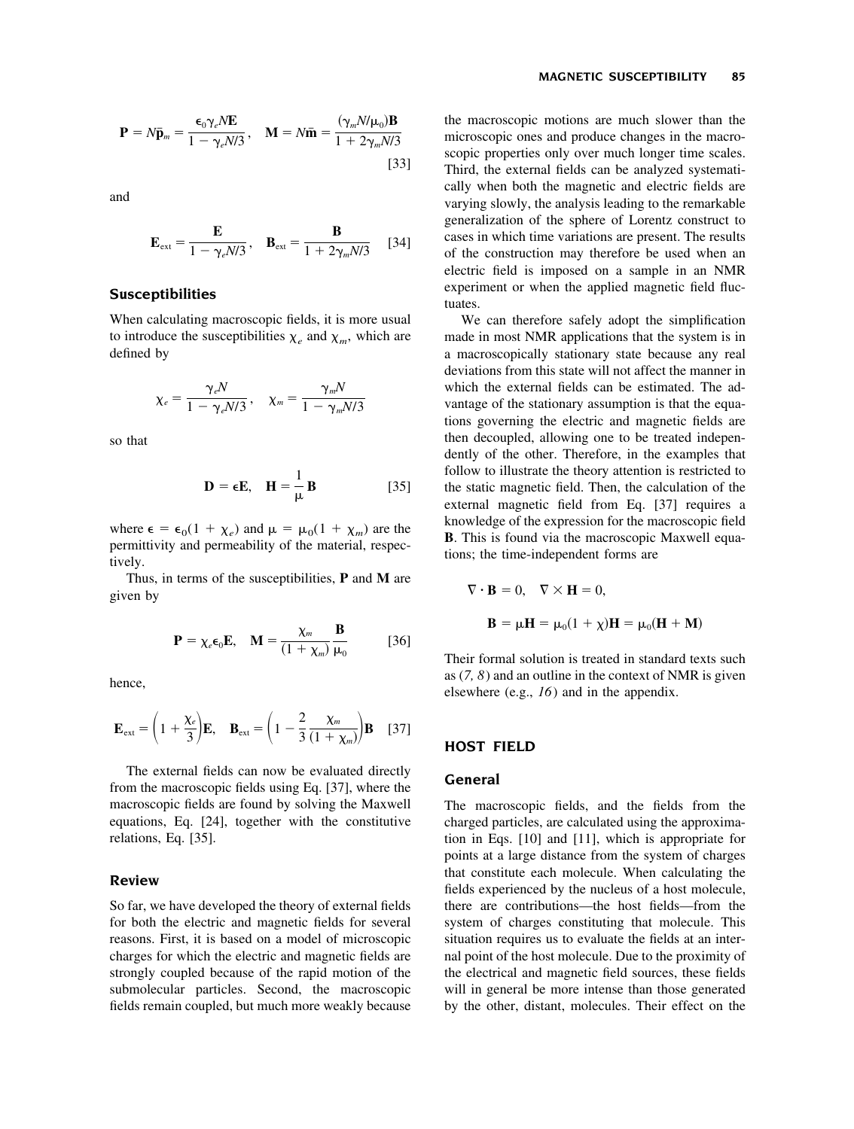$$
\mathbf{P} = N\bar{\mathbf{p}}_m = \frac{\epsilon_0 \gamma_e N \mathbf{E}}{1 - \gamma_e N/3}, \quad \mathbf{M} = N\bar{\mathbf{m}} = \frac{(\gamma_m N/\mu_0) \mathbf{B}}{1 + 2\gamma_m N/3}
$$
\n[33]

and

$$
\mathbf{E}_{\text{ext}} = \frac{\mathbf{E}}{1 - \gamma_e N/3}, \quad \mathbf{B}_{\text{ext}} = \frac{\mathbf{B}}{1 + 2\gamma_m N/3} \quad [34]
$$

#### **Susceptibilities**

When calculating macroscopic fields, it is more usual to introduce the susceptibilities  $\chi_e$  and  $\chi_m$ , which are defined by

$$
\chi_e = \frac{\gamma_e N}{1 - \gamma_e N/3}, \quad \chi_m = \frac{\gamma_m N}{1 - \gamma_m N/3}
$$

so that

$$
\mathbf{D} = \epsilon \mathbf{E}, \quad \mathbf{H} = \frac{1}{\mu} \mathbf{B}
$$
 [35]

where  $\epsilon = \epsilon_0(1 + \chi_e)$  and  $\mu = \mu_0(1 + \chi_m)$  are the permittivity and permeability of the material, respectively.

Thus, in terms of the susceptibilities, **P** and **M** are given by

$$
\mathbf{P} = \chi_e \boldsymbol{\epsilon}_0 \mathbf{E}, \quad \mathbf{M} = \frac{\chi_m}{(1 + \chi_m)} \frac{\mathbf{B}}{\mu_0}
$$
 [36]

hence,

$$
\mathbf{E}_{ext} = \left(1 + \frac{\chi_e}{3}\right)\mathbf{E}, \quad \mathbf{B}_{ext} = \left(1 - \frac{2}{3}\frac{\chi_m}{(1 + \chi_m)}\right)\mathbf{B} \quad [37]
$$

The external fields can now be evaluated directly from the macroscopic fields using Eq. [37], where the macroscopic fields are found by solving the Maxwell equations, Eq. [24], together with the constitutive relations, Eq. [35].

#### **Review**

So far, we have developed the theory of external fields for both the electric and magnetic fields for several reasons. First, it is based on a model of microscopic charges for which the electric and magnetic fields are strongly coupled because of the rapid motion of the submolecular particles. Second, the macroscopic fields remain coupled, but much more weakly because

**MAGNETIC SUSCEPTIBILITY 85**

microscopic ones and produce changes in the macroscopic properties only over much longer time scales. Third, the external fields can be analyzed systematically when both the magnetic and electric fields are varying slowly, the analysis leading to the remarkable generalization of the sphere of Lorentz construct to cases in which time variations are present. The results of the construction may therefore be used when an electric field is imposed on a sample in an NMR experiment or when the applied magnetic field fluctuates.

We can therefore safely adopt the simplification made in most NMR applications that the system is in a macroscopically stationary state because any real deviations from this state will not affect the manner in which the external fields can be estimated. The advantage of the stationary assumption is that the equations governing the electric and magnetic fields are then decoupled, allowing one to be treated independently of the other. Therefore, in the examples that follow to illustrate the theory attention is restricted to the static magnetic field. Then, the calculation of the external magnetic field from Eq. [37] requires a knowledge of the expression for the macroscopic field **B**. This is found via the macroscopic Maxwell equations; the time-independent forms are

$$
\nabla \cdot \mathbf{B} = 0, \quad \nabla \times \mathbf{H} = 0,
$$

$$
\mathbf{B} = \mu \mathbf{H} = \mu_0 (1 + \chi) \mathbf{H} = \mu_0 (\mathbf{H} + \mathbf{M})
$$

Their formal solution is treated in standard texts such as (*7, 8*) and an outline in the context of NMR is given elsewhere (e.g., *16*) and in the appendix.

## **HOST FIELD**

#### **General**

The macroscopic fields, and the fields from the charged particles, are calculated using the approximation in Eqs. [10] and [11], which is appropriate for points at a large distance from the system of charges that constitute each molecule. When calculating the fields experienced by the nucleus of a host molecule, there are contributions—the host fields—from the system of charges constituting that molecule. This situation requires us to evaluate the fields at an internal point of the host molecule. Due to the proximity of the electrical and magnetic field sources, these fields will in general be more intense than those generated by the other, distant, molecules. Their effect on the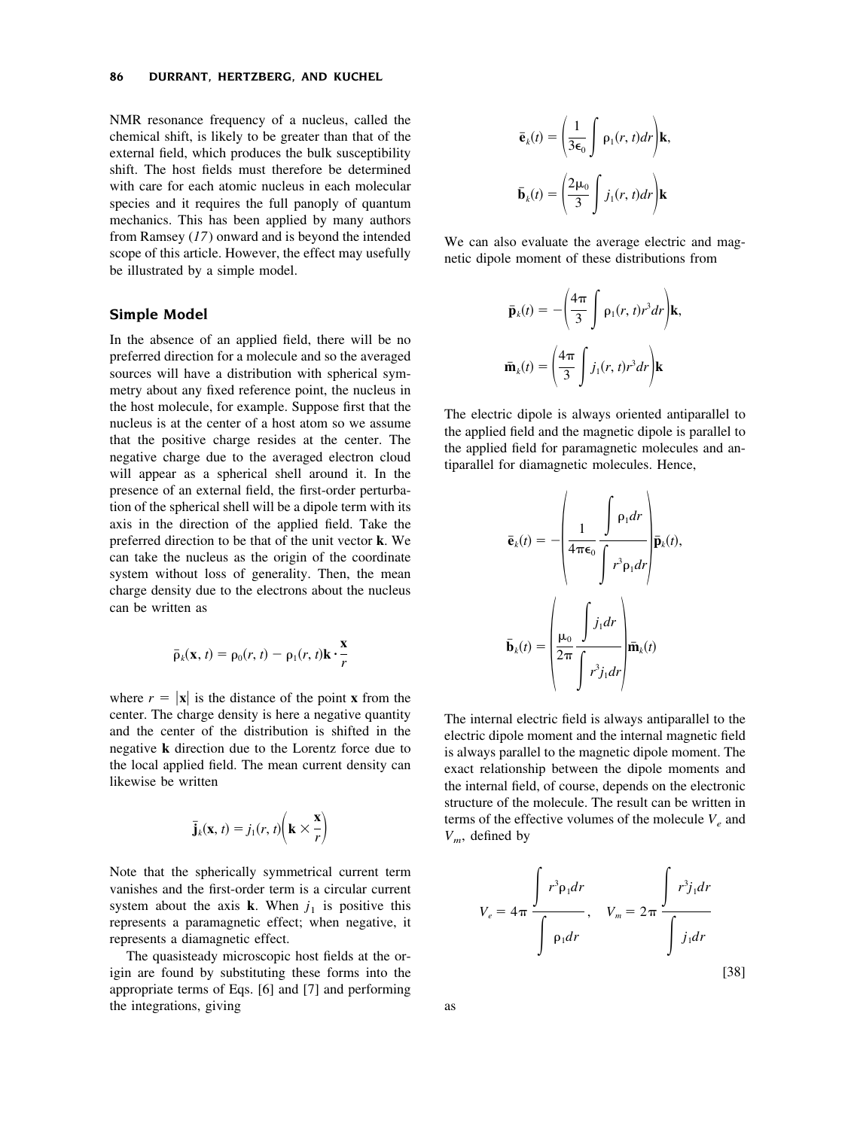NMR resonance frequency of a nucleus, called the chemical shift, is likely to be greater than that of the external field, which produces the bulk susceptibility shift. The host fields must therefore be determined with care for each atomic nucleus in each molecular species and it requires the full panoply of quantum mechanics. This has been applied by many authors from Ramsey (*17*) onward and is beyond the intended scope of this article. However, the effect may usefully be illustrated by a simple model.

#### **Simple Model**

In the absence of an applied field, there will be no preferred direction for a molecule and so the averaged sources will have a distribution with spherical symmetry about any fixed reference point, the nucleus in the host molecule, for example. Suppose first that the nucleus is at the center of a host atom so we assume that the positive charge resides at the center. The negative charge due to the averaged electron cloud will appear as a spherical shell around it. In the presence of an external field, the first-order perturbation of the spherical shell will be a dipole term with its axis in the direction of the applied field. Take the preferred direction to be that of the unit vector **k**. We can take the nucleus as the origin of the coordinate system without loss of generality. Then, the mean charge density due to the electrons about the nucleus can be written as

$$
\bar{\rho}_k(\mathbf{x},t) = \rho_0(r,t) - \rho_1(r,t)\mathbf{k} \cdot \frac{\mathbf{x}}{r}
$$

where  $r = |\mathbf{x}|$  is the distance of the point **x** from the center. The charge density is here a negative quantity and the center of the distribution is shifted in the negative **k** direction due to the Lorentz force due to the local applied field. The mean current density can likewise be written

$$
\bar{\mathbf{j}}_k(\mathbf{x}, t) = j_1(r, t) \bigg( \mathbf{k} \times \frac{\mathbf{x}}{r} \bigg)
$$

Note that the spherically symmetrical current term vanishes and the first-order term is a circular current system about the axis **k**. When  $j_1$  is positive this represents a paramagnetic effect; when negative, it represents a diamagnetic effect.

The quasisteady microscopic host fields at the origin are found by substituting these forms into the appropriate terms of Eqs. [6] and [7] and performing the integrations, giving

$$
\overline{\mathbf{e}}_k(t) = \left(\frac{1}{3\epsilon_0} \int \rho_1(r, t) dr\right) \mathbf{k},
$$

$$
\overline{\mathbf{b}}_k(t) = \left(\frac{2\mu_0}{3} \int j_1(r, t) dr\right) \mathbf{k}
$$

We can also evaluate the average electric and magnetic dipole moment of these distributions from

$$
\bar{\mathbf{p}}_k(t) = -\left(\frac{4\pi}{3}\int \rho_1(r, t)r^3 dr\right) \mathbf{k},
$$

$$
\bar{\mathbf{m}}_k(t) = \left(\frac{4\pi}{3}\int j_1(r, t)r^3 dr\right) \mathbf{k}
$$

The electric dipole is always oriented antiparallel to the applied field and the magnetic dipole is parallel to the applied field for paramagnetic molecules and antiparallel for diamagnetic molecules. Hence,

$$
\bar{\mathbf{e}}_k(t) = -\left(\frac{1}{4\pi\epsilon_0} \frac{\int \rho_1 dr}{\int r^3 \rho_1 dr}\right) \bar{\mathbf{p}}_k(t),
$$

$$
\bar{\mathbf{b}}_k(t) = \left(\frac{\mu_0}{2\pi} \frac{\int j_1 dr}{\int r^3 j_1 dr}\right) \bar{\mathbf{m}}_k(t)
$$

The internal electric field is always antiparallel to the electric dipole moment and the internal magnetic field is always parallel to the magnetic dipole moment. The exact relationship between the dipole moments and the internal field, of course, depends on the electronic structure of the molecule. The result can be written in terms of the effective volumes of the molecule  $V_e$  and *Vm*, defined by

$$
V_e = 4\pi \frac{\int r^3 \rho_1 dr}{\int \rho_1 dr}, \quad V_m = 2\pi \frac{\int r^3 j_1 dr}{\int j_1 dr}
$$

[38]

as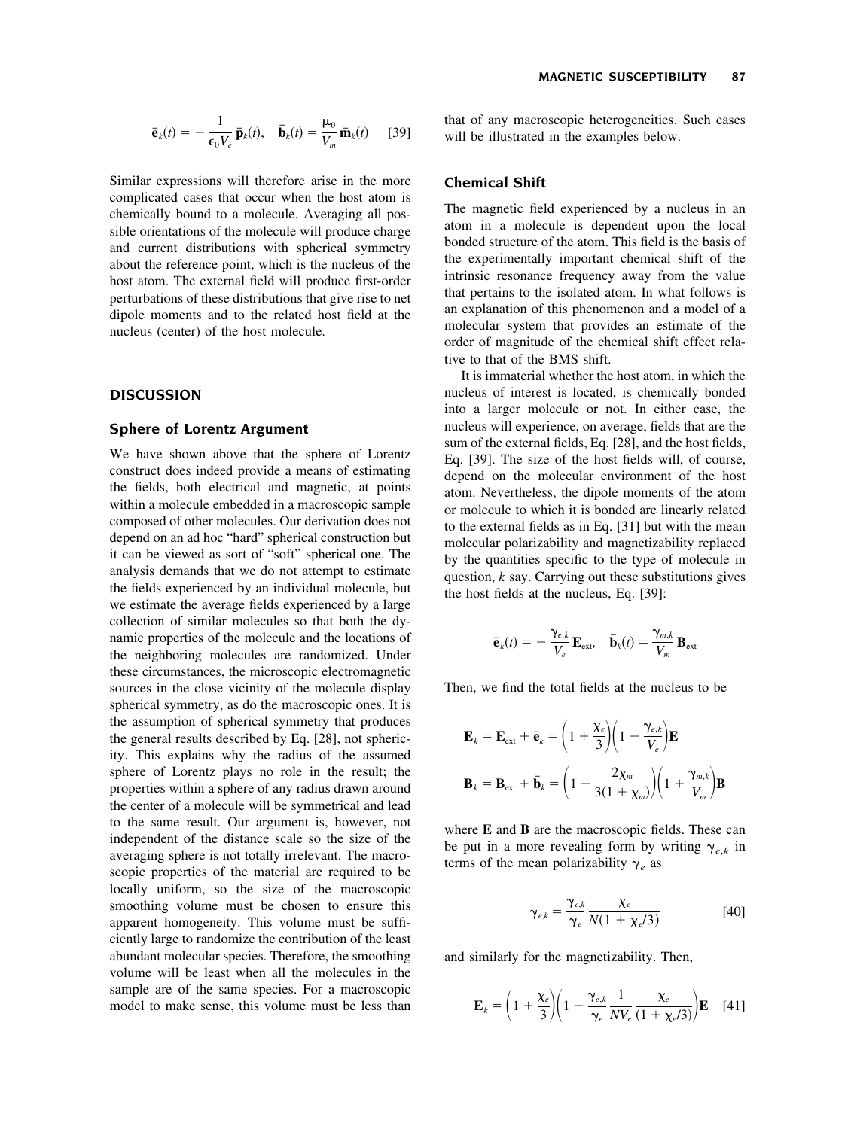$$
\bar{\mathbf{e}}_k(t) = -\frac{1}{\epsilon_0 V_e} \bar{\mathbf{p}}_k(t), \quad \bar{\mathbf{b}}_k(t) = \frac{\mu_0}{V_m} \bar{\mathbf{m}}_k(t) \quad [39]
$$

Similar expressions will therefore arise in the more complicated cases that occur when the host atom is chemically bound to a molecule. Averaging all possible orientations of the molecule will produce charge and current distributions with spherical symmetry about the reference point, which is the nucleus of the host atom. The external field will produce first-order perturbations of these distributions that give rise to net dipole moments and to the related host field at the nucleus (center) of the host molecule.

# **DISCUSSION**

#### **Sphere of Lorentz Argument**

We have shown above that the sphere of Lorentz construct does indeed provide a means of estimating the fields, both electrical and magnetic, at points within a molecule embedded in a macroscopic sample composed of other molecules. Our derivation does not depend on an ad hoc "hard" spherical construction but it can be viewed as sort of "soft" spherical one. The analysis demands that we do not attempt to estimate the fields experienced by an individual molecule, but we estimate the average fields experienced by a large collection of similar molecules so that both the dynamic properties of the molecule and the locations of the neighboring molecules are randomized. Under these circumstances, the microscopic electromagnetic sources in the close vicinity of the molecule display spherical symmetry, as do the macroscopic ones. It is the assumption of spherical symmetry that produces the general results described by Eq. [28], not sphericity. This explains why the radius of the assumed sphere of Lorentz plays no role in the result; the properties within a sphere of any radius drawn around the center of a molecule will be symmetrical and lead to the same result. Our argument is, however, not independent of the distance scale so the size of the averaging sphere is not totally irrelevant. The macroscopic properties of the material are required to be locally uniform, so the size of the macroscopic smoothing volume must be chosen to ensure this apparent homogeneity. This volume must be sufficiently large to randomize the contribution of the least abundant molecular species. Therefore, the smoothing volume will be least when all the molecules in the sample are of the same species. For a macroscopic model to make sense, this volume must be less than

that of any macroscopic heterogeneities. Such cases will be illustrated in the examples below.

## **Chemical Shift**

The magnetic field experienced by a nucleus in an atom in a molecule is dependent upon the local bonded structure of the atom. This field is the basis of the experimentally important chemical shift of the intrinsic resonance frequency away from the value that pertains to the isolated atom. In what follows is an explanation of this phenomenon and a model of a molecular system that provides an estimate of the order of magnitude of the chemical shift effect relative to that of the BMS shift.

It is immaterial whether the host atom, in which the nucleus of interest is located, is chemically bonded into a larger molecule or not. In either case, the nucleus will experience, on average, fields that are the sum of the external fields, Eq. [28], and the host fields, Eq. [39]. The size of the host fields will, of course, depend on the molecular environment of the host atom. Nevertheless, the dipole moments of the atom or molecule to which it is bonded are linearly related to the external fields as in Eq. [31] but with the mean molecular polarizability and magnetizability replaced by the quantities specific to the type of molecule in question, *k* say. Carrying out these substitutions gives the host fields at the nucleus, Eq. [39]:

$$
\bar{\mathbf{e}}_k(t) = -\frac{\gamma_{e,k}}{V_e} \mathbf{E}_{ext}, \quad \bar{\mathbf{b}}_k(t) = \frac{\gamma_{m,k}}{V_m} \mathbf{B}_{ext}
$$

Then, we find the total fields at the nucleus to be

$$
\mathbf{E}_{k} = \mathbf{E}_{ext} + \bar{\mathbf{e}}_{k} = \left(1 + \frac{\chi_{e}}{3}\right)\left(1 - \frac{\gamma_{e,k}}{V_{e}}\right)\mathbf{E}
$$

$$
\mathbf{B}_{k} = \mathbf{B}_{ext} + \bar{\mathbf{b}}_{k} = \left(1 - \frac{2\chi_{m}}{3(1 + \chi_{m})}\right)\left(1 + \frac{\gamma_{m,k}}{V_{m}}\right)\mathbf{B}
$$

where **E** and **B** are the macroscopic fields. These can be put in a more revealing form by writing  $\gamma_{e,k}$  in terms of the mean polarizability  $\gamma_e$  as

$$
\gamma_{e,k} = \frac{\gamma_{e,k}}{\gamma_e} \frac{\chi_e}{N(1 + \chi_e/3)}
$$
 [40]

and similarly for the magnetizability. Then,

$$
\mathbf{E}_{k} = \left(1 + \frac{\chi_{e}}{3}\right)\left(1 - \frac{\gamma_{e,k}}{\gamma_{e}}\frac{1}{NV_{e}}\frac{\chi_{e}}{(1 + \chi_{e}/3)}\right)\mathbf{E} \quad [41]
$$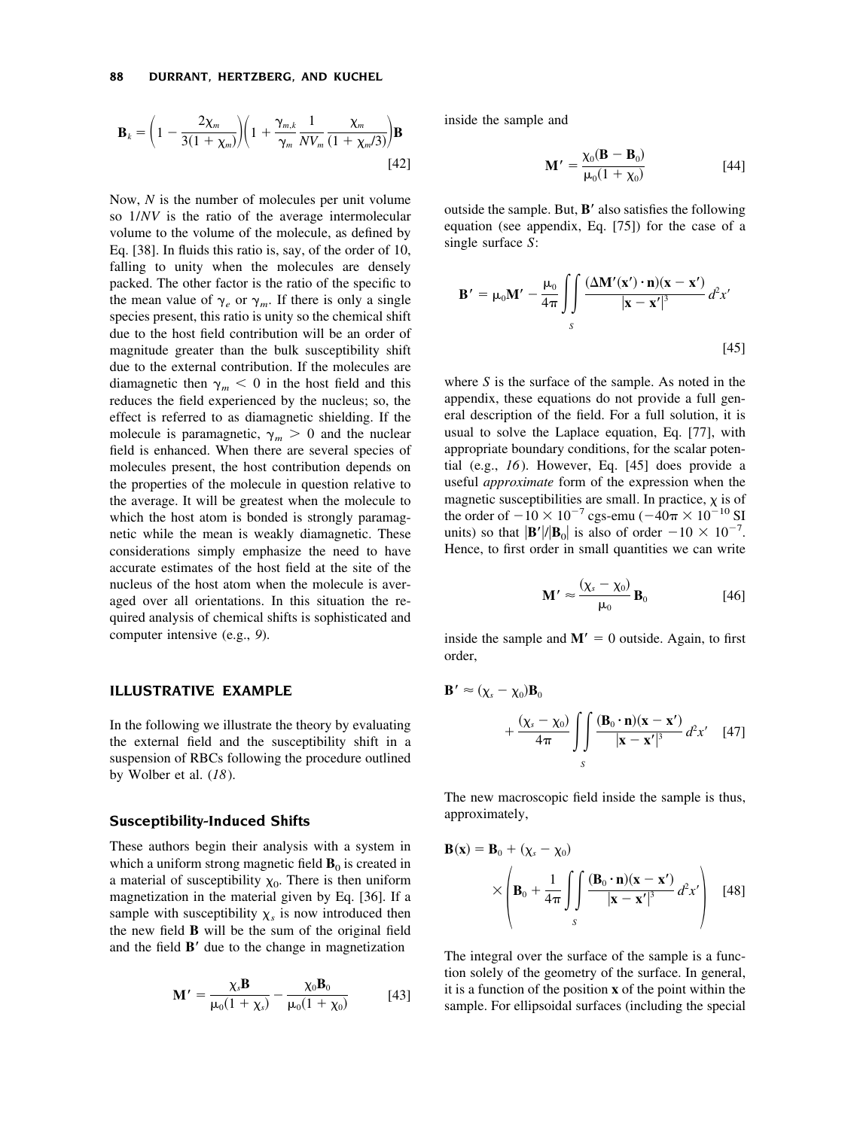$$
\mathbf{B}_{k} = \left(1 - \frac{2\chi_{m}}{3(1+\chi_{m})}\right)\left(1 + \frac{\gamma_{m,k}}{\gamma_{m}}\frac{1}{NV_{m}}\frac{\chi_{m}}{(1+\chi_{m}/3)}\right)\mathbf{B}
$$
\n[42]

Now, *N* is the number of molecules per unit volume so 1/*NV* is the ratio of the average intermolecular volume to the volume of the molecule, as defined by Eq. [38]. In fluids this ratio is, say, of the order of 10, falling to unity when the molecules are densely packed. The other factor is the ratio of the specific to the mean value of  $\gamma_e$  or  $\gamma_m$ . If there is only a single species present, this ratio is unity so the chemical shift due to the host field contribution will be an order of magnitude greater than the bulk susceptibility shift due to the external contribution. If the molecules are diamagnetic then  $\gamma_m < 0$  in the host field and this reduces the field experienced by the nucleus; so, the effect is referred to as diamagnetic shielding. If the molecule is paramagnetic,  $\gamma_m > 0$  and the nuclear field is enhanced. When there are several species of molecules present, the host contribution depends on the properties of the molecule in question relative to the average. It will be greatest when the molecule to which the host atom is bonded is strongly paramagnetic while the mean is weakly diamagnetic. These considerations simply emphasize the need to have accurate estimates of the host field at the site of the nucleus of the host atom when the molecule is averaged over all orientations. In this situation the required analysis of chemical shifts is sophisticated and computer intensive (e.g., *9*).

## **ILLUSTRATIVE EXAMPLE**

In the following we illustrate the theory by evaluating the external field and the susceptibility shift in a suspension of RBCs following the procedure outlined by Wolber et al. (*18*).

#### **Susceptibility-Induced Shifts**

These authors begin their analysis with a system in which a uniform strong magnetic field  $\mathbf{B}_0$  is created in a material of susceptibility  $\chi_0$ . There is then uniform magnetization in the material given by Eq. [36]. If a sample with susceptibility  $\chi_s$  is now introduced then the new field **B** will be the sum of the original field and the field **B**' due to the change in magnetization

$$
\mathbf{M'} = \frac{\chi_s \mathbf{B}}{\mu_0 (1 + \chi_s)} - \frac{\chi_0 \mathbf{B}_0}{\mu_0 (1 + \chi_0)}
$$
 [43]

inside the sample and

$$
\mathbf{M'} = \frac{\chi_0(\mathbf{B} - \mathbf{B}_0)}{\mu_0(1 + \chi_0)}
$$
 [44]

outside the sample. But,  $B'$  also satisfies the following equation (see appendix, Eq. [75]) for the case of a single surface *S*:

$$
\mathbf{B}' = \mu_0 \mathbf{M}' - \frac{\mu_0}{4\pi} \int\limits_{S} \frac{(\Delta \mathbf{M}'(\mathbf{x}') \cdot \mathbf{n})(\mathbf{x} - \mathbf{x}')}{|\mathbf{x} - \mathbf{x}'|^3} d^2 x'
$$
\n[45]

where *S* is the surface of the sample. As noted in the appendix, these equations do not provide a full general description of the field. For a full solution, it is usual to solve the Laplace equation, Eq. [77], with appropriate boundary conditions, for the scalar potential (e.g., *16*). However, Eq. [45] does provide a useful *approximate* form of the expression when the magnetic susceptibilities are small. In practice,  $\chi$  is of the order of  $-10 \times 10^{-7}$  cgs-emu ( $-40\pi \times 10^{-10}$  SI units) so that  $|\mathbf{B}'|/|\mathbf{B}_0|$  is also of order  $-10 \times 10^{-7}$ . Hence, to first order in small quantities we can write

$$
\mathbf{M'} \approx \frac{(\chi_s - \chi_0)}{\mu_0} \mathbf{B}_0
$$
 [46]

inside the sample and  $M' = 0$  outside. Again, to first order,

$$
\mathbf{B'} \approx (\chi_s - \chi_0) \mathbf{B}_0
$$
  
+ 
$$
\frac{(\chi_s - \chi_0)}{4\pi} \int\int\limits_S \frac{(\mathbf{B}_0 \cdot \mathbf{n})(\mathbf{x} - \mathbf{x'})}{|\mathbf{x} - \mathbf{x'}|^3} d^2x' \quad [47]
$$

The new macroscopic field inside the sample is thus, approximately,

$$
\mathbf{B}(\mathbf{x}) = \mathbf{B}_0 + (\chi_s - \chi_0)
$$

$$
\times \left( \mathbf{B}_0 + \frac{1}{4\pi} \iint_S \frac{(\mathbf{B}_0 \cdot \mathbf{n})(\mathbf{x} - \mathbf{x}')}{|\mathbf{x} - \mathbf{x}'|^3} d^2 x' \right) [48]
$$

The integral over the surface of the sample is a function solely of the geometry of the surface. In general, it is a function of the position **x** of the point within the sample. For ellipsoidal surfaces (including the special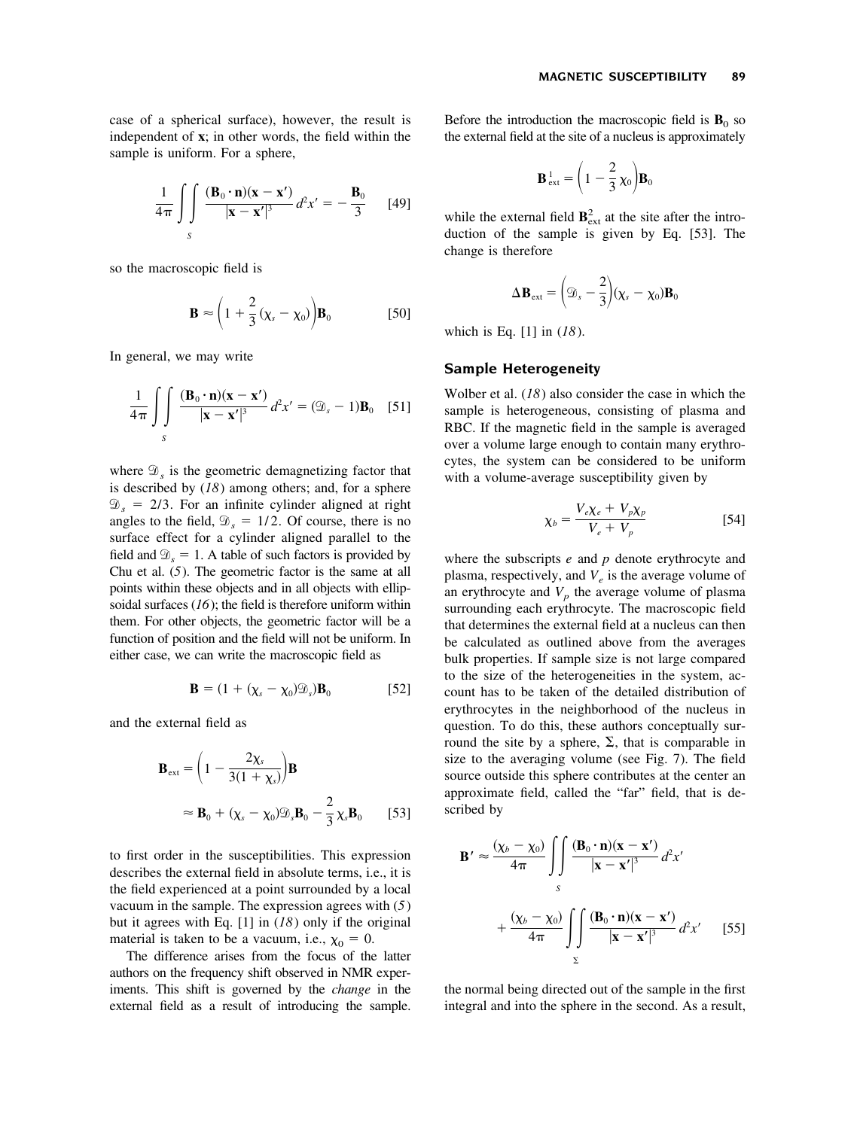case of a spherical surface), however, the result is independent of **x**; in other words, the field within the sample is uniform. For a sphere,

$$
\frac{1}{4\pi} \int\int\limits_{S} \frac{(\mathbf{B}_0 \cdot \mathbf{n})(\mathbf{x} - \mathbf{x}')}{|\mathbf{x} - \mathbf{x}'|^3} d^2 x' = -\frac{\mathbf{B}_0}{3} \quad [49]
$$

so the macroscopic field is

$$
\mathbf{B} \approx \left(1 + \frac{2}{3}(\chi_s - \chi_0)\right) \mathbf{B}_0
$$
 [50]

In general, we may write

$$
\frac{1}{4\pi} \int\int\limits_{S} \frac{(\mathbf{B}_0 \cdot \mathbf{n})(\mathbf{x} - \mathbf{x}')}{|\mathbf{x} - \mathbf{x}'|^3} d^2x' = (\mathcal{D}_s - 1)\mathbf{B}_0 \quad [51]
$$

where  $\mathcal{D}_s$  is the geometric demagnetizing factor that is described by (*18*) among others; and, for a sphere  $\mathcal{D}_s = 2/3$ . For an infinite cylinder aligned at right angles to the field,  $\mathcal{D}_s = 1/2$ . Of course, there is no surface effect for a cylinder aligned parallel to the field and  $\mathcal{D}_s = 1$ . A table of such factors is provided by Chu et al. (*5*). The geometric factor is the same at all points within these objects and in all objects with ellipsoidal surfaces (*16*); the field is therefore uniform within them. For other objects, the geometric factor will be a function of position and the field will not be uniform. In either case, we can write the macroscopic field as

$$
\mathbf{B} = (1 + (\chi_s - \chi_0) \mathcal{D}_s) \mathbf{B}_0
$$
 [52]

and the external field as

$$
\mathbf{B}_{ext} = \left(1 - \frac{2\chi_s}{3(1 + \chi_s)}\right) \mathbf{B}
$$
  
\n
$$
\approx \mathbf{B}_0 + (\chi_s - \chi_0) \mathcal{D}_s \mathbf{B}_0 - \frac{2}{3} \chi_s \mathbf{B}_0 \quad [53]
$$

to first order in the susceptibilities. This expression describes the external field in absolute terms, i.e., it is the field experienced at a point surrounded by a local vacuum in the sample. The expression agrees with (*5*) but it agrees with Eq. [1] in (*18*) only if the original material is taken to be a vacuum, i.e.,  $\chi_0 = 0$ .

The difference arises from the focus of the latter authors on the frequency shift observed in NMR experiments. This shift is governed by the *change* in the external field as a result of introducing the sample.

Before the introduction the macroscopic field is  $\mathbf{B}_0$  so the external field at the site of a nucleus is approximately

$$
\mathbf{B}_{ext}^{1} = \left(1 - \frac{2}{3} \chi_0\right) \mathbf{B}_0
$$

while the external field  $\mathbf{B}_{ext}^2$  at the site after the introduction of the sample is given by Eq. [53]. The change is therefore

$$
\Delta \mathbf{B}_{ext} = \left(\mathcal{D}_s - \frac{2}{3}\right) (\chi_s - \chi_0) \mathbf{B}_0
$$

which is Eq. [1] in (*18*).

# **Sample Heterogeneity**

Wolber et al. (*18*) also consider the case in which the sample is heterogeneous, consisting of plasma and RBC. If the magnetic field in the sample is averaged over a volume large enough to contain many erythrocytes, the system can be considered to be uniform with a volume-average susceptibility given by

$$
\chi_b = \frac{V_e \chi_e + V_p \chi_p}{V_e + V_p} \tag{54}
$$

where the subscripts *e* and *p* denote erythrocyte and plasma, respectively, and  $V_e$  is the average volume of an erythrocyte and  $V_p$  the average volume of plasma surrounding each erythrocyte. The macroscopic field that determines the external field at a nucleus can then be calculated as outlined above from the averages bulk properties. If sample size is not large compared to the size of the heterogeneities in the system, account has to be taken of the detailed distribution of erythrocytes in the neighborhood of the nucleus in question. To do this, these authors conceptually surround the site by a sphere,  $\Sigma$ , that is comparable in size to the averaging volume (see Fig. 7). The field source outside this sphere contributes at the center an approximate field, called the "far" field, that is described by

$$
\mathbf{B'} \approx \frac{(\chi_b - \chi_0)}{4\pi} \int\int\limits_S \frac{(\mathbf{B}_0 \cdot \mathbf{n})(\mathbf{x} - \mathbf{x'})}{|\mathbf{x} - \mathbf{x'}|^3} d^2x'
$$

$$
+ \frac{(\chi_b - \chi_0)}{4\pi} \int\limits_{\Sigma} \frac{(\mathbf{B}_0 \cdot \mathbf{n})(\mathbf{x} - \mathbf{x'})}{|\mathbf{x} - \mathbf{x'}|^3} d^2x' \qquad [55]
$$

the normal being directed out of the sample in the first integral and into the sphere in the second. As a result,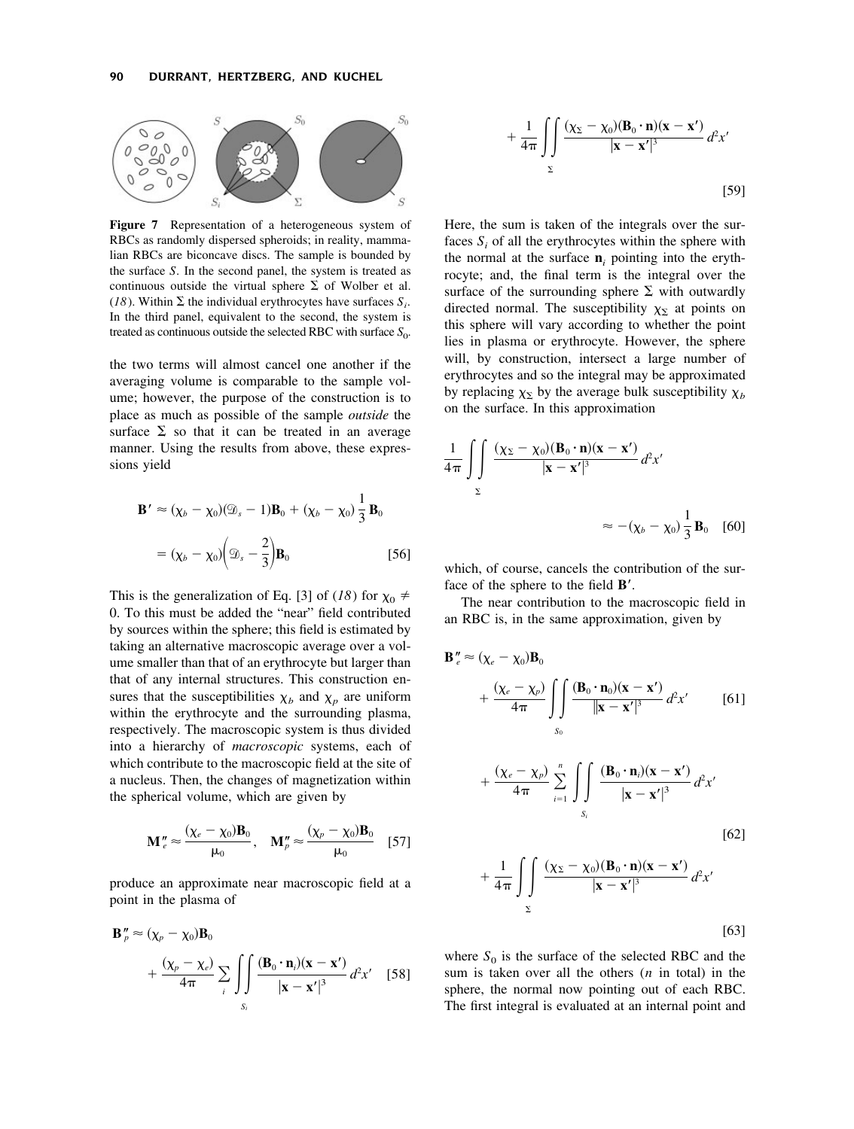

**Figure 7** Representation of a heterogeneous system of RBCs as randomly dispersed spheroids; in reality, mammalian RBCs are biconcave discs. The sample is bounded by the surface *S*. In the second panel, the system is treated as continuous outside the virtual sphere  $\Sigma$  of Wolber et al. (*18*). Within  $\Sigma$  the individual erythrocytes have surfaces  $S_i$ . In the third panel, equivalent to the second, the system is treated as continuous outside the selected RBC with surface  $S_0$ .

the two terms will almost cancel one another if the averaging volume is comparable to the sample volume; however, the purpose of the construction is to place as much as possible of the sample *outside* the surface  $\Sigma$  so that it can be treated in an average manner. Using the results from above, these expressions yield

$$
\mathbf{B'} \approx (\chi_b - \chi_0)(\mathfrak{D}_s - 1)\mathbf{B}_0 + (\chi_b - \chi_0)\frac{1}{3}\mathbf{B}_0
$$

$$
= (\chi_b - \chi_0)(\mathfrak{D}_s - \frac{2}{3})\mathbf{B}_0
$$
 [56]

This is the generalization of Eq. [3] of (18) for  $\chi_0 \neq$ 0. To this must be added the "near" field contributed by sources within the sphere; this field is estimated by taking an alternative macroscopic average over a volume smaller than that of an erythrocyte but larger than that of any internal structures. This construction ensures that the susceptibilities  $\chi_b$  and  $\chi_p$  are uniform within the erythrocyte and the surrounding plasma, respectively. The macroscopic system is thus divided into a hierarchy of *macroscopic* systems, each of which contribute to the macroscopic field at the site of a nucleus. Then, the changes of magnetization within the spherical volume, which are given by

$$
\mathbf{M}_{e}^{"'} \approx \frac{(\chi_{e} - \chi_{0})\mathbf{B}_{0}}{\mu_{0}}, \quad \mathbf{M}_{p}^{"'} \approx \frac{(\chi_{p} - \chi_{0})\mathbf{B}_{0}}{\mu_{0}} \quad [57]
$$

produce an approximate near macroscopic field at a point in the plasma of

$$
\mathbf{B}_{p}'' \approx (\chi_{p} - \chi_{0}) \mathbf{B}_{0}
$$
  
+ 
$$
\frac{(\chi_{p} - \chi_{e})}{4\pi} \sum_{i} \int \int \frac{(\mathbf{B}_{0} \cdot \mathbf{n}_{i})(\mathbf{x} - \mathbf{x}')}{|\mathbf{x} - \mathbf{x}'|^{3}} d^{2}x' \quad [58]
$$

$$
+\frac{1}{4\pi}\iint\limits_{\Sigma} \frac{(\chi_{\Sigma}-\chi_0)(\mathbf{B}_0\cdot\mathbf{n})(\mathbf{x}-\mathbf{x}')}{|\mathbf{x}-\mathbf{x}'|^3} d^2x'
$$
\n[59]

Here, the sum is taken of the integrals over the surfaces  $S_i$  of all the erythrocytes within the sphere with the normal at the surface  $\mathbf{n}_i$  pointing into the erythrocyte; and, the final term is the integral over the surface of the surrounding sphere  $\Sigma$  with outwardly directed normal. The susceptibility  $\chi_{\Sigma}$  at points on this sphere will vary according to whether the point lies in plasma or erythrocyte. However, the sphere will, by construction, intersect a large number of erythrocytes and so the integral may be approximated by replacing  $\chi_{\Sigma}$  by the average bulk susceptibility  $\chi_b$ on the surface. In this approximation

$$
\frac{1}{4\pi} \int\int\limits_{\Sigma} \frac{(\chi_{\Sigma} - \chi_0)(\mathbf{B}_0 \cdot \mathbf{n})(\mathbf{x} - \mathbf{x}')}{|\mathbf{x} - \mathbf{x}'|^3} d^2x'
$$

$$
\approx -(\chi_b - \chi_0) \frac{1}{3} \mathbf{B}_0 \quad [60]
$$

which, of course, cancels the contribution of the surface of the sphere to the field **B'**.

The near contribution to the macroscopic field in an RBC is, in the same approximation, given by

$$
\mathbf{B}_{e}'' \approx (\chi_{e} - \chi_{0})\mathbf{B}_{0}
$$
\n
$$
+ \frac{(\chi_{e} - \chi_{p})}{4\pi} \int \int \frac{(\mathbf{B}_{0} \cdot \mathbf{n}_{0})(\mathbf{x} - \mathbf{x}')}{\|\mathbf{x} - \mathbf{x}'\|^{3}} d^{2}x' \qquad [61]
$$
\n
$$
+ \frac{(\chi_{e} - \chi_{p})}{4\pi} \sum_{i=1}^{n} \int \int \frac{(\mathbf{B}_{0} \cdot \mathbf{n}_{i})(\mathbf{x} - \mathbf{x}')}{|\mathbf{x} - \mathbf{x}'|^{3}} d^{2}x' \qquad [62]
$$
\n
$$
+ \frac{1}{4\pi} \int \int \frac{(\chi_{\Sigma} - \chi_{0})(\mathbf{B}_{0} \cdot \mathbf{n})(\mathbf{x} - \mathbf{x}')}{|\mathbf{x} - \mathbf{x}'|^{3}} d^{2}x' \qquad [62]
$$

[63]

where  $S_0$  is the surface of the selected RBC and the sum is taken over all the others (*n* in total) in the sphere, the normal now pointing out of each RBC. The first integral is evaluated at an internal point and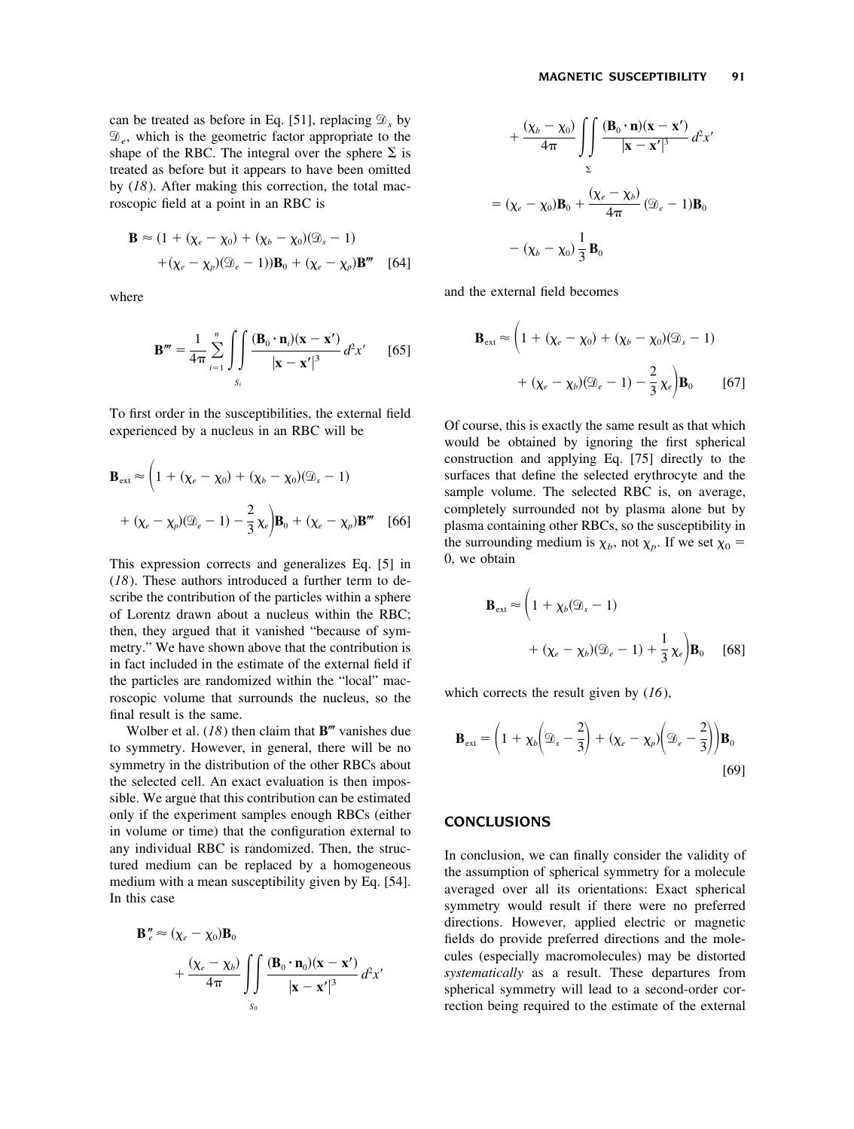can be treated as before in Eq. [51], replacing  $\mathcal{D}_s$  by  $\mathcal{D}_e$ , which is the geometric factor appropriate to the shape of the RBC. The integral over the sphere  $\Sigma$  is treated as before but it appears to have been omitted by (*18*). After making this correction, the total macroscopic field at a point in an RBC is

$$
\mathbf{B} \approx (1 + (\chi_e - \chi_0) + (\chi_b - \chi_0)(\mathcal{D}_s - 1)
$$

$$
+ (\chi_e - \chi_p)(\mathcal{D}_e - 1))\mathbf{B}_0 + (\chi_e - \chi_p)\mathbf{B}''' \quad [64]
$$

where

$$
\mathbf{B'''} = \frac{1}{4\pi} \sum_{i=1}^{n} \int \int \frac{(\mathbf{B}_0 \cdot \mathbf{n}_i)(\mathbf{x} - \mathbf{x'})}{|\mathbf{x} - \mathbf{x'}|^3} d^2x' \qquad [65]
$$

To first order in the susceptibilities, the external field experienced by a nucleus in an RBC will be

$$
\mathbf{B}_{ext} \approx \left(1 + (\chi_e - \chi_0) + (\chi_b - \chi_0)(\mathcal{D}_s - 1) + (\chi_e - \chi_p)(\mathcal{D}_e - 1) - \frac{2}{3}\chi_e\right)\mathbf{B}_0 + (\chi_e - \chi_p)\mathbf{B'''} \quad [66]
$$

This expression corrects and generalizes Eq. [5] in (*18*). These authors introduced a further term to describe the contribution of the particles within a sphere of Lorentz drawn about a nucleus within the RBC; then, they argued that it vanished "because of symmetry." We have shown above that the contribution is in fact included in the estimate of the external field if the particles are randomized within the "local" macroscopic volume that surrounds the nucleus, so the final result is the same.

Wolber et al.  $(18)$  then claim that  $\mathbf{B}^{\prime\prime\prime}$  vanishes due to symmetry. However, in general, there will be no symmetry in the distribution of the other RBCs about the selected cell. An exact evaluation is then impossible. We argue that this contribution can be estimated only if the experiment samples enough RBCs (either in volume or time) that the configuration external to any individual RBC is randomized. Then, the structured medium can be replaced by a homogeneous medium with a mean susceptibility given by Eq. [54]. In this case

$$
\mathbf{B}_{e}'' \approx (\chi_{e} - \chi_{0}) \mathbf{B}_{0}
$$
  
+ 
$$
\frac{(\chi_{e} - \chi_{b})}{4\pi} \int_{S_{0}} \frac{(\mathbf{B}_{0} \cdot \mathbf{n}_{0})(\mathbf{x} - \mathbf{x}')}{|\mathbf{x} - \mathbf{x}'|^{3}} d^{2}x'
$$

$$
+\frac{(\chi_b - \chi_0)}{4\pi} \int\int\limits_{\Sigma} \frac{(\mathbf{B}_0 \cdot \mathbf{n})(\mathbf{x} - \mathbf{x}')}{|\mathbf{x} - \mathbf{x}'|^3} d^2x'
$$

$$
= (\chi_e - \chi_0)\mathbf{B}_0 + \frac{(\chi_e - \chi_b)}{4\pi} (\mathfrak{D}_e - 1)\mathbf{B}_0
$$

$$
- (\chi_b - \chi_0) \frac{1}{3} \mathbf{B}_0
$$

and the external field becomes

$$
\mathbf{B}_{ext} \approx \left(1 + (\chi_e - \chi_0) + (\chi_b - \chi_0)(\mathcal{D}_s - 1) + (\chi_e - \chi_b)(\mathcal{D}_e - 1) - \frac{2}{3}\chi_e\right)\mathbf{B}_0
$$
 [67]

Of course, this is exactly the same result as that which would be obtained by ignoring the first spherical construction and applying Eq. [75] directly to the surfaces that define the selected erythrocyte and the sample volume. The selected RBC is, on average, completely surrounded not by plasma alone but by plasma containing other RBCs, so the susceptibility in the surrounding medium is  $\chi_b$ , not  $\chi_p$ . If we set  $\chi_0$  = 0, we obtain

$$
\mathbf{B}_{ext} \approx \left(1 + \chi_b(\mathcal{D}_s - 1) + (\chi_e - \chi_b)(\mathcal{D}_e - 1) + \frac{1}{3}\chi_e\right)\mathbf{B}_0 \quad [68]
$$

which corrects the result given by (*16*),

$$
\mathbf{B}_{\text{ext}} = \left(1 + \chi_b\left(\mathfrak{D}_s - \frac{2}{3}\right) + (\chi_e - \chi_p)\left(\mathfrak{D}_e - \frac{2}{3}\right)\right)\mathbf{B}_0
$$
\n[69]

#### **CONCLUSIONS**

In conclusion, we can finally consider the validity of the assumption of spherical symmetry for a molecule averaged over all its orientations: Exact spherical symmetry would result if there were no preferred directions. However, applied electric or magnetic fields do provide preferred directions and the molecules (especially macromolecules) may be distorted *systematically* as a result. These departures from spherical symmetry will lead to a second-order correction being required to the estimate of the external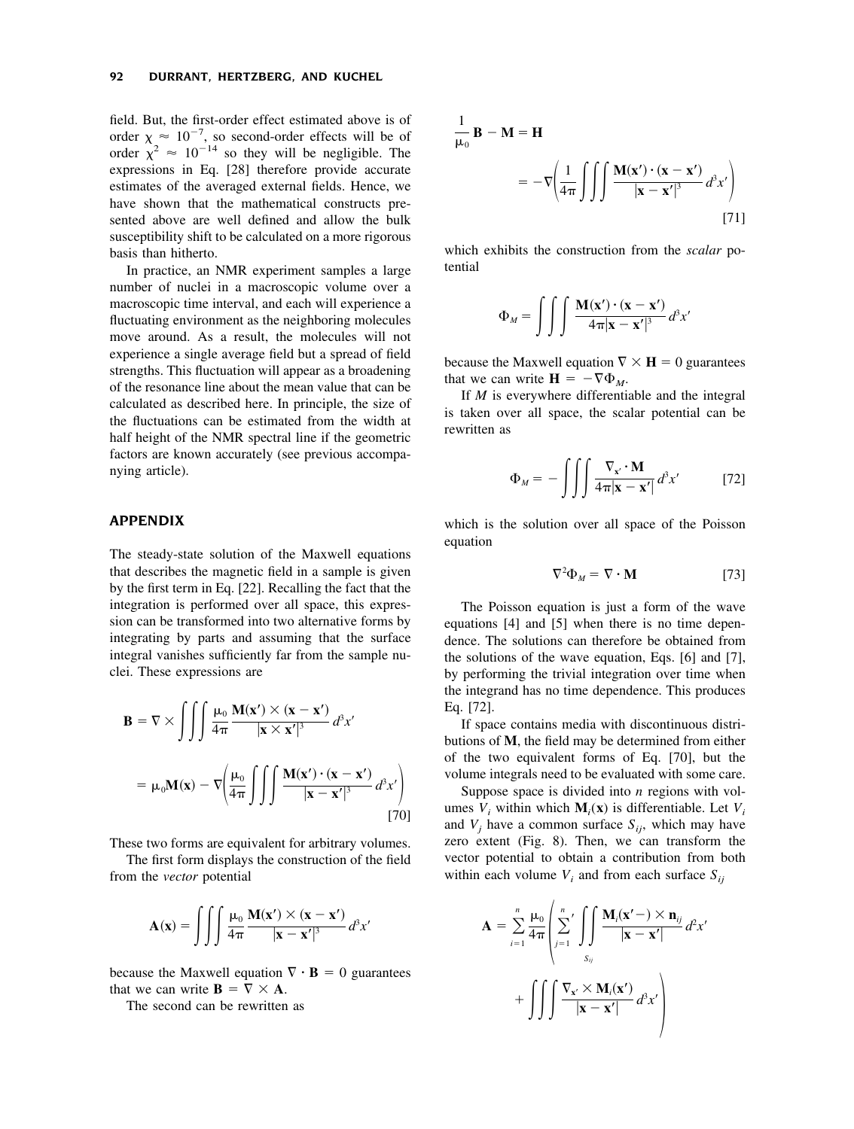field. But, the first-order effect estimated above is of order  $\chi \approx 10^{-7}$ , so second-order effects will be of order  $\chi^2 \approx 10^{-14}$  so they will be negligible. The expressions in Eq. [28] therefore provide accurate estimates of the averaged external fields. Hence, we have shown that the mathematical constructs presented above are well defined and allow the bulk susceptibility shift to be calculated on a more rigorous basis than hitherto.

In practice, an NMR experiment samples a large number of nuclei in a macroscopic volume over a macroscopic time interval, and each will experience a fluctuating environment as the neighboring molecules move around. As a result, the molecules will not experience a single average field but a spread of field strengths. This fluctuation will appear as a broadening of the resonance line about the mean value that can be calculated as described here. In principle, the size of the fluctuations can be estimated from the width at half height of the NMR spectral line if the geometric factors are known accurately (see previous accompanying article).

## **APPENDIX**

The steady-state solution of the Maxwell equations that describes the magnetic field in a sample is given by the first term in Eq. [22]. Recalling the fact that the integration is performed over all space, this expression can be transformed into two alternative forms by integrating by parts and assuming that the surface integral vanishes sufficiently far from the sample nuclei. These expressions are

$$
\mathbf{B} = \nabla \times \iiint \frac{\mu_0}{4\pi} \frac{\mathbf{M}(\mathbf{x}') \times (\mathbf{x} - \mathbf{x}')}{|\mathbf{x} \times \mathbf{x}'|^3} d^3x'
$$

$$
= \mu_0 \mathbf{M}(\mathbf{x}) - \nabla \left( \frac{\mu_0}{4\pi} \iiint \frac{\mathbf{M}(\mathbf{x}') \cdot (\mathbf{x} - \mathbf{x}')}{|\mathbf{x} - \mathbf{x}'|^3} d^3x' \right)
$$
[70]

These two forms are equivalent for arbitrary volumes.

The first form displays the construction of the field from the *vector* potential

$$
\mathbf{A}(\mathbf{x}) = \iiint \frac{\mu_0}{4\pi} \frac{\mathbf{M}(\mathbf{x}') \times (\mathbf{x} - \mathbf{x}')}{|\mathbf{x} - \mathbf{x}'|^3} d^3 x'
$$

because the Maxwell equation  $\nabla \cdot \mathbf{B} = 0$  guarantees that we can write  $\mathbf{B} = \nabla \times \mathbf{A}$ .

The second can be rewritten as

$$
\frac{1}{\mu_0} \mathbf{B} - \mathbf{M} = \mathbf{H}
$$

$$
= -\nabla \left( \frac{1}{4\pi} \int \int \int \frac{\mathbf{M}(\mathbf{x}') \cdot (\mathbf{x} - \mathbf{x}')}{|\mathbf{x} - \mathbf{x}'|^3} d^3 x' \right)
$$
[71]

which exhibits the construction from the *scalar* potential

$$
\Phi_M = \int \int \int \frac{\mathbf{M}(\mathbf{x}') \cdot (\mathbf{x} - \mathbf{x}')}{4\pi |\mathbf{x} - \mathbf{x}'|^3} d^3 x'
$$

because the Maxwell equation  $\nabla \times \mathbf{H} = 0$  guarantees that we can write  $\mathbf{H} = -\nabla \Phi_M$ .

If *M* is everywhere differentiable and the integral is taken over all space, the scalar potential can be rewritten as

$$
\Phi_M = -\iiint \frac{\nabla_{\mathbf{x'}} \cdot \mathbf{M}}{4\pi |\mathbf{x} - \mathbf{x'}|} d^3 x' \qquad [72]
$$

which is the solution over all space of the Poisson equation

$$
\nabla^2 \Phi_M = \nabla \cdot \mathbf{M} \tag{73}
$$

The Poisson equation is just a form of the wave equations [4] and [5] when there is no time dependence. The solutions can therefore be obtained from the solutions of the wave equation, Eqs. [6] and [7], by performing the trivial integration over time when the integrand has no time dependence. This produces Eq. [72].

If space contains media with discontinuous distributions of **M**, the field may be determined from either of the two equivalent forms of Eq. [70], but the volume integrals need to be evaluated with some care.

Suppose space is divided into *n* regions with volumes  $V_i$  within which  $M_i(x)$  is differentiable. Let  $V_i$ and  $V_i$  have a common surface  $S_{ii}$ , which may have zero extent (Fig. 8). Then, we can transform the vector potential to obtain a contribution from both within each volume  $V_i$  and from each surface  $S_{ii}$ 

$$
\mathbf{A} = \sum_{i=1}^{n} \frac{\mu_0}{4\pi} \left( \sum_{j=1}^{n} \int \int \frac{\mathbf{M}_i(\mathbf{x'} -) \times \mathbf{n}_{ij}}{|\mathbf{x} - \mathbf{x'}|} d^2 x' + \int \int \int \frac{\nabla_{\mathbf{x'}} \times \mathbf{M}_i(\mathbf{x'})}{|\mathbf{x} - \mathbf{x'}|} d^3 x' \right)
$$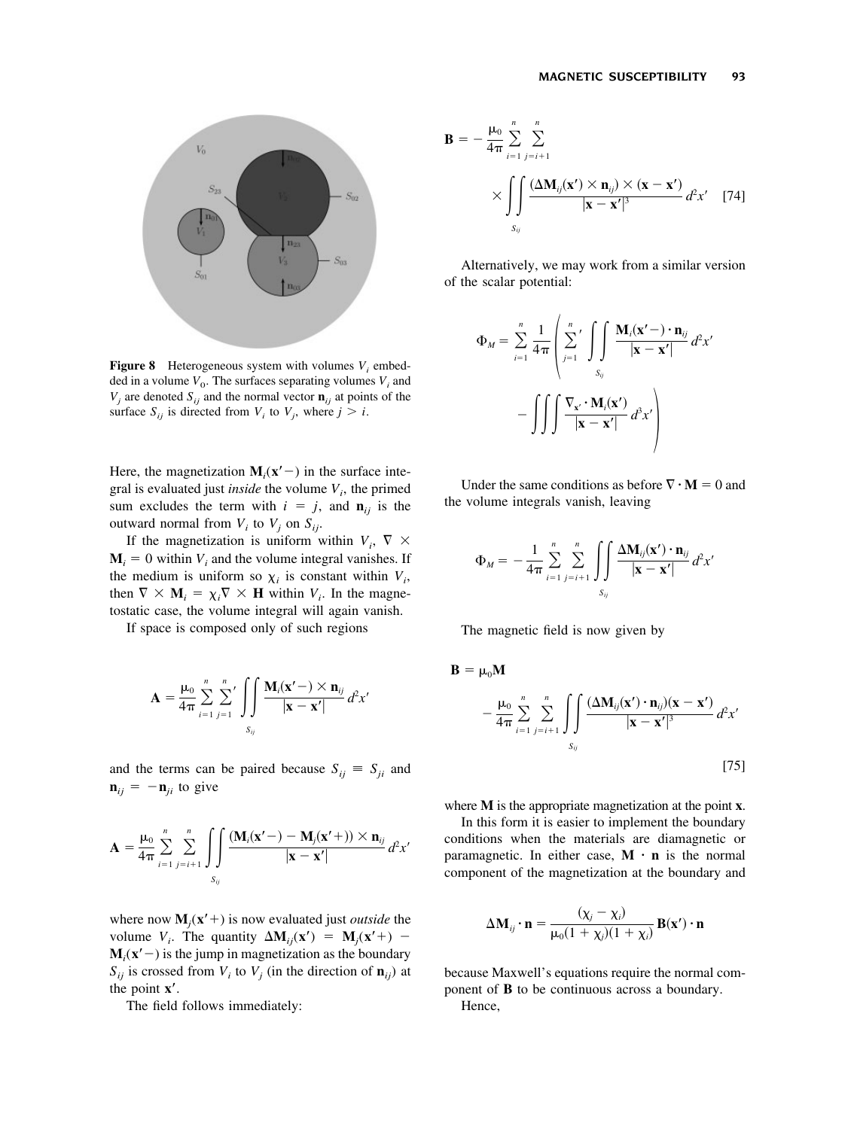

**Figure 8** Heterogeneous system with volumes  $V_i$  embedded in a volume  $V_0$ . The surfaces separating volumes  $V_i$  and  $V_i$  are denoted  $S_{ii}$  and the normal vector  $\mathbf{n}_{ii}$  at points of the surface  $S_{ij}$  is directed from  $V_i$  to  $V_j$ , where  $j > i$ .

Here, the magnetization  $M_i(x' - )$  in the surface integral is evaluated just *inside* the volume  $V_i$ , the primed sum excludes the term with  $i = j$ , and  $\mathbf{n}_{ij}$  is the outward normal from  $V_i$  to  $V_j$  on  $S_{ij}$ .

If the magnetization is uniform within  $V_i$ ,  $\nabla \times$  $M_i = 0$  within  $V_i$  and the volume integral vanishes. If the medium is uniform so  $\chi_i$  is constant within  $V_i$ , then  $\nabla \times \mathbf{M}_i = \chi_i \nabla \times \mathbf{H}$  within  $V_i$ . In the magnetostatic case, the volume integral will again vanish.

If space is composed only of such regions

$$
\mathbf{A} = \frac{\mu_0}{4\pi} \sum_{i=1}^n \sum_{j=1}^n \int \int \frac{\mathbf{M}_i(\mathbf{x'} - \mathbf{X})}{|\mathbf{x} - \mathbf{x'}|} d^2 x'
$$

and the terms can be paired because  $S_{ij} \equiv S_{ji}$  and  $\mathbf{n}_{ij} = -\mathbf{n}_{ji}$  to give

$$
\mathbf{A} = \frac{\mu_0}{4\pi} \sum_{i=1}^n \sum_{j=i+1}^n \iint_{S_{ij}} \frac{(\mathbf{M}_i(\mathbf{x'}-)-\mathbf{M}_j(\mathbf{x'}+)) \times \mathbf{n}_{ij}}{|\mathbf{x}-\mathbf{x'}|} d^2x'
$$

where now  $M_j(x' +)$  is now evaluated just *outside* the volume  $V_i$ . The quantity  $\Delta M_{ij}(\mathbf{x}') = M_j(\mathbf{x}' + )$  –  $M_i(x' -)$  is the jump in magnetization as the boundary  $S_{ii}$  is crossed from  $V_i$  to  $V_j$  (in the direction of  $\mathbf{n}_{ij}$ ) at the point **x**-.

The field follows immediately:

$$
\mathbf{B} = -\frac{\mu_0}{4\pi} \sum_{i=1}^n \sum_{j=i+1}^n
$$
  
 
$$
\times \int\int\limits_{S_{ij}} \frac{(\Delta \mathbf{M}_{ij}(\mathbf{x}') \times \mathbf{n}_{ij}) \times (\mathbf{x} - \mathbf{x}')}{|\mathbf{x} - \mathbf{x}'|^3} d^2x' \quad [74]
$$

Alternatively, we may work from a similar version of the scalar potential:

$$
\Phi_M = \sum_{i=1}^n \frac{1}{4\pi} \left( \sum_{j=1}^n' \int \int \frac{\mathbf{M}_i(\mathbf{x}' - ) \cdot \mathbf{n}_{ij}}{|\mathbf{x} - \mathbf{x}'|} d^2 x' \right. \left. - \int \int \int \frac{\nabla_{\mathbf{x}'} \cdot \mathbf{M}_i(\mathbf{x}')}{|\mathbf{x} - \mathbf{x}'|} d^3 x' \right)
$$

Under the same conditions as before  $\nabla \cdot \mathbf{M} = 0$  and the volume integrals vanish, leaving

$$
\Phi_M = -\frac{1}{4\pi} \sum_{i=1}^n \sum_{j=i+1}^n \int \int \frac{\Delta \mathbf{M}_{ij}(\mathbf{x}') \cdot \mathbf{n}_{ij}}{|\mathbf{x} - \mathbf{x}'|} d^2 x'
$$

The magnetic field is now given by

$$
\mathbf{B} = \mu_0 \mathbf{M}
$$
  
-  $\frac{\mu_0}{4\pi} \sum_{i=1}^n \sum_{j=i+1}^n \iint_{S_{ij}} \frac{(\Delta \mathbf{M}_{ij}(\mathbf{x}') \cdot \mathbf{n}_{ij})(\mathbf{x} - \mathbf{x}')}{|\mathbf{x} - \mathbf{x}'|^3} d^2x'$  [75]

where **M** is the appropriate magnetization at the point **x**.

In this form it is easier to implement the boundary conditions when the materials are diamagnetic or paramagnetic. In either case,  $M \cdot n$  is the normal component of the magnetization at the boundary and

$$
\Delta \mathbf{M}_{ij} \cdot \mathbf{n} = \frac{(\chi_j - \chi_i)}{\mu_0 (1 + \chi_j)(1 + \chi_i)} \mathbf{B}(\mathbf{x}') \cdot \mathbf{n}
$$

because Maxwell's equations require the normal component of **B** to be continuous across a boundary.

Hence,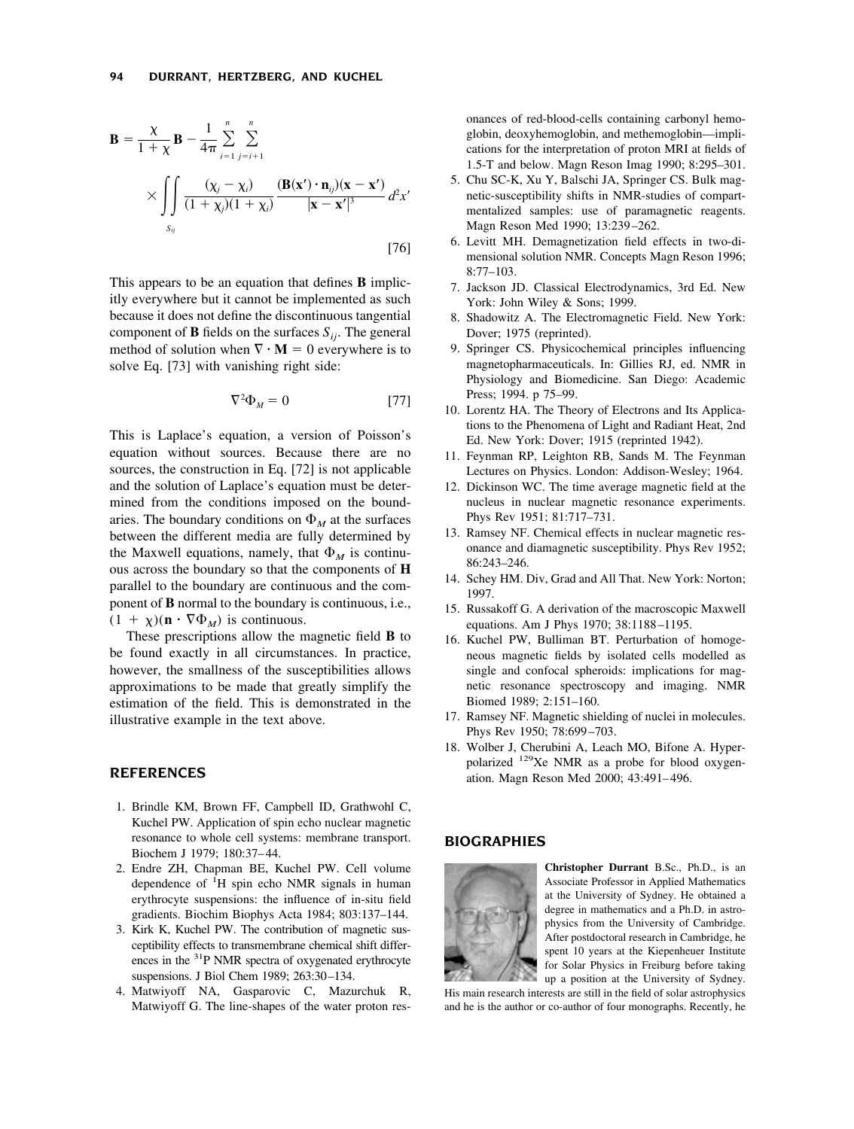$$
\mathbf{B} = \frac{\chi}{1 + \chi} \mathbf{B} - \frac{1}{4\pi} \sum_{i=1}^{n} \sum_{j=i+1}^{n}
$$
  
 
$$
\times \int \int \frac{(\chi_j - \chi_i)}{(1 + \chi_j)(1 + \chi_i)} \frac{(\mathbf{B}(\mathbf{x}') \cdot \mathbf{n}_{ij})(\mathbf{x} - \mathbf{x}')}{|\mathbf{x} - \mathbf{x}'|^3} d^2x'
$$
  
\n[76]

This appears to be an equation that defines **B** implicitly everywhere but it cannot be implemented as such because it does not define the discontinuous tangential component of **B** fields on the surfaces  $S_{ij}$ . The general method of solution when  $\nabla \cdot \mathbf{M} = 0$  everywhere is to solve Eq. [73] with vanishing right side:

$$
\nabla^2 \Phi_M = 0 \tag{77}
$$

This is Laplace's equation, a version of Poisson's equation without sources. Because there are no sources, the construction in Eq. [72] is not applicable and the solution of Laplace's equation must be determined from the conditions imposed on the boundaries. The boundary conditions on  $\Phi_M$  at the surfaces between the different media are fully determined by the Maxwell equations, namely, that  $\Phi_M$  is continuous across the boundary so that the components of **H** parallel to the boundary are continuous and the component of **B** normal to the boundary is continuous, i.e.,  $(1 + \chi)(\mathbf{n} \cdot \nabla \Phi_M)$  is continuous.

These prescriptions allow the magnetic field **B** to be found exactly in all circumstances. In practice, however, the smallness of the susceptibilities allows approximations to be made that greatly simplify the estimation of the field. This is demonstrated in the illustrative example in the text above.

## **REFERENCES**

- 1. Brindle KM, Brown FF, Campbell ID, Grathwohl C, Kuchel PW. Application of spin echo nuclear magnetic resonance to whole cell systems: membrane transport. Biochem J 1979; 180:37–44.
- 2. Endre ZH, Chapman BE, Kuchel PW. Cell volume dependence of  ${}^{1}H$  spin echo NMR signals in human erythrocyte suspensions: the influence of in-situ field gradients. Biochim Biophys Acta 1984; 803:137–144.
- 3. Kirk K, Kuchel PW. The contribution of magnetic susceptibility effects to transmembrane chemical shift differences in the 31P NMR spectra of oxygenated erythrocyte suspensions. J Biol Chem 1989; 263:30–134.
- 4. Matwiyoff NA, Gasparovic C, Mazurchuk R, Matwiyoff G. The line-shapes of the water proton res-

onances of red-blood-cells containing carbonyl hemoglobin, deoxyhemoglobin, and methemoglobin—implications for the interpretation of proton MRI at fields of 1.5-T and below. Magn Reson Imag 1990; 8:295–301.

- 5. Chu SC-K, Xu Y, Balschi JA, Springer CS. Bulk magnetic-susceptibility shifts in NMR-studies of compartmentalized samples: use of paramagnetic reagents. Magn Reson Med 1990; 13:239–262.
- 6. Levitt MH. Demagnetization field effects in two-dimensional solution NMR. Concepts Magn Reson 1996; 8:77–103.
- 7. Jackson JD. Classical Electrodynamics, 3rd Ed. New York: John Wiley & Sons; 1999.
- 8. Shadowitz A. The Electromagnetic Field. New York: Dover; 1975 (reprinted).
- 9. Springer CS. Physicochemical principles influencing magnetopharmaceuticals. In: Gillies RJ, ed. NMR in Physiology and Biomedicine. San Diego: Academic Press; 1994. p 75–99.
- 10. Lorentz HA. The Theory of Electrons and Its Applications to the Phenomena of Light and Radiant Heat, 2nd Ed. New York: Dover; 1915 (reprinted 1942).
- 11. Feynman RP, Leighton RB, Sands M. The Feynman Lectures on Physics. London: Addison-Wesley; 1964.
- 12. Dickinson WC. The time average magnetic field at the nucleus in nuclear magnetic resonance experiments. Phys Rev 1951; 81:717–731.
- 13. Ramsey NF. Chemical effects in nuclear magnetic resonance and diamagnetic susceptibility. Phys Rev 1952; 86:243–246.
- 14. Schey HM. Div, Grad and All That. New York: Norton; 1997.
- 15. Russakoff G. A derivation of the macroscopic Maxwell equations. Am J Phys 1970; 38:1188–1195.
- 16. Kuchel PW, Bulliman BT. Perturbation of homogeneous magnetic fields by isolated cells modelled as single and confocal spheroids: implications for magnetic resonance spectroscopy and imaging. NMR Biomed 1989; 2:151–160.
- 17. Ramsey NF. Magnetic shielding of nuclei in molecules. Phys Rev 1950; 78:699–703.
- 18. Wolber J, Cherubini A, Leach MO, Bifone A. Hyperpolarized 129Xe NMR as a probe for blood oxygenation. Magn Reson Med 2000; 43:491–496.

## **BIOGRAPHIES**



**Christopher Durrant** B.Sc., Ph.D., is an Associate Professor in Applied Mathematics at the University of Sydney. He obtained a degree in mathematics and a Ph.D. in astrophysics from the University of Cambridge. After postdoctoral research in Cambridge, he spent 10 years at the Kiepenheuer Institute for Solar Physics in Freiburg before taking up a position at the University of Sydney.

His main research interests are still in the field of solar astrophysics and he is the author or co-author of four monographs. Recently, he